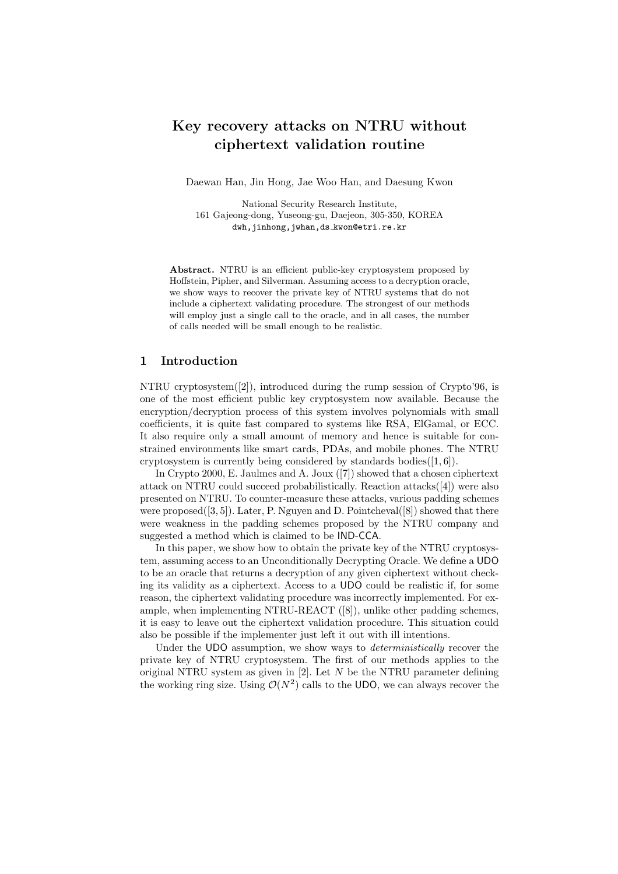# Key recovery attacks on NTRU without ciphertext validation routine

Daewan Han, Jin Hong, Jae Woo Han, and Daesung Kwon

National Security Research Institute, 161 Gajeong-dong, Yuseong-gu, Daejeon, 305-350, KOREA dwh,jinhong,jwhan,ds kwon@etri.re.kr

Abstract. NTRU is an efficient public-key cryptosystem proposed by Hoffstein, Pipher, and Silverman. Assuming access to a decryption oracle, we show ways to recover the private key of NTRU systems that do not include a ciphertext validating procedure. The strongest of our methods will employ just a single call to the oracle, and in all cases, the number of calls needed will be small enough to be realistic.

## 1 Introduction

NTRU cryptosystem([2]), introduced during the rump session of Crypto'96, is one of the most efficient public key cryptosystem now available. Because the encryption/decryption process of this system involves polynomials with small coefficients, it is quite fast compared to systems like RSA, ElGamal, or ECC. It also require only a small amount of memory and hence is suitable for constrained environments like smart cards, PDAs, and mobile phones. The NTRU cryptosystem is currently being considered by standards bodies $([1, 6])$ .

In Crypto 2000, E. Jaulmes and A. Joux ([7]) showed that a chosen ciphertext attack on NTRU could succeed probabilistically. Reaction attacks([4]) were also presented on NTRU. To counter-measure these attacks, various padding schemes were proposed $([3, 5])$ . Later, P. Nguyen and D. Pointcheval $([8])$  showed that there were weakness in the padding schemes proposed by the NTRU company and suggested a method which is claimed to be IND-CCA.

In this paper, we show how to obtain the private key of the NTRU cryptosystem, assuming access to an Unconditionally Decrypting Oracle. We define a UDO to be an oracle that returns a decryption of any given ciphertext without checking its validity as a ciphertext. Access to a UDO could be realistic if, for some reason, the ciphertext validating procedure was incorrectly implemented. For example, when implementing NTRU-REACT ([8]), unlike other padding schemes, it is easy to leave out the ciphertext validation procedure. This situation could also be possible if the implementer just left it out with ill intentions.

Under the UDO assumption, we show ways to *deterministically* recover the private key of NTRU cryptosystem. The first of our methods applies to the original NTRU system as given in  $[2]$ . Let N be the NTRU parameter defining the working ring size. Using  $\mathcal{O}(N^2)$  calls to the UDO, we can always recover the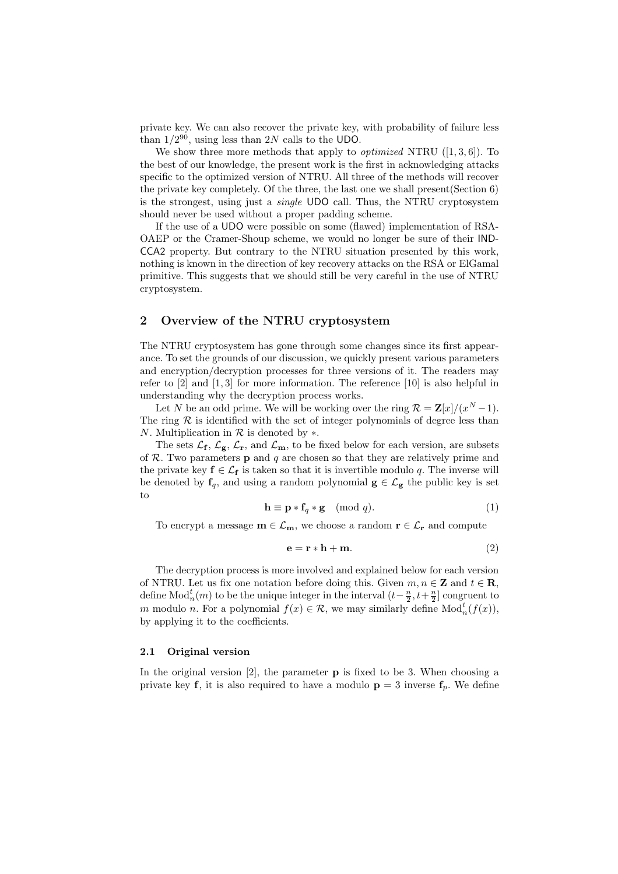private key. We can also recover the private key, with probability of failure less than  $1/2^{90}$ , using less than 2N calls to the UDO.

We show three more methods that apply to *optimized* NTRU  $([1, 3, 6])$ . To the best of our knowledge, the present work is the first in acknowledging attacks specific to the optimized version of NTRU. All three of the methods will recover the private key completely. Of the three, the last one we shall present(Section 6) is the strongest, using just a single UDO call. Thus, the NTRU cryptosystem should never be used without a proper padding scheme.

If the use of a UDO were possible on some (flawed) implementation of RSA-OAEP or the Cramer-Shoup scheme, we would no longer be sure of their IND-CCA2 property. But contrary to the NTRU situation presented by this work, nothing is known in the direction of key recovery attacks on the RSA or ElGamal primitive. This suggests that we should still be very careful in the use of NTRU cryptosystem.

### 2 Overview of the NTRU cryptosystem

The NTRU cryptosystem has gone through some changes since its first appearance. To set the grounds of our discussion, we quickly present various parameters and encryption/decryption processes for three versions of it. The readers may refer to [2] and [1, 3] for more information. The reference [10] is also helpful in understanding why the decryption process works.

Let N be an odd prime. We will be working over the ring  $\mathcal{R} = \mathbf{Z}[x]/(x^N-1)$ . The ring  $R$  is identified with the set of integer polynomials of degree less than N. Multiplication in  $\mathcal R$  is denoted by  $\ast$ .

The sets  $\mathcal{L}_{f}$ ,  $\mathcal{L}_{g}$ ,  $\mathcal{L}_{r}$ , and  $\mathcal{L}_{m}$ , to be fixed below for each version, are subsets of  $R$ . Two parameters **p** and  $q$  are chosen so that they are relatively prime and the private key  $f \in \mathcal{L}_f$  is taken so that it is invertible modulo q. The inverse will be denoted by  $f_q$ , and using a random polynomial  $g \in \mathcal{L}_g$  the public key is set to

$$
\mathbf{h} \equiv \mathbf{p} * \mathbf{f}_q * \mathbf{g} \pmod{q}.
$$
 (1)

To encrypt a message  $m \in \mathcal{L}_m$ , we choose a random  $r \in \mathcal{L}_r$  and compute

$$
\mathbf{e} = \mathbf{r} * \mathbf{h} + \mathbf{m}.\tag{2}
$$

The decryption process is more involved and explained below for each version of NTRU. Let us fix one notation before doing this. Given  $m, n \in \mathbb{Z}$  and  $t \in \mathbb{R}$ , define  $\text{Mod}_n^t(m)$  to be the unique integer in the interval  $(t-\frac{n}{2},t+\frac{n}{2}]$  congruent to m modulo n. For a polynomial  $f(x) \in \mathcal{R}$ , we may similarly define  $\text{Mod}_n^t(f(x))$ , by applying it to the coefficients.

### 2.1 Original version

In the original version [2], the parameter p is fixed to be 3. When choosing a private key **f**, it is also required to have a modulo  $p = 3$  inverse  $f_p$ . We define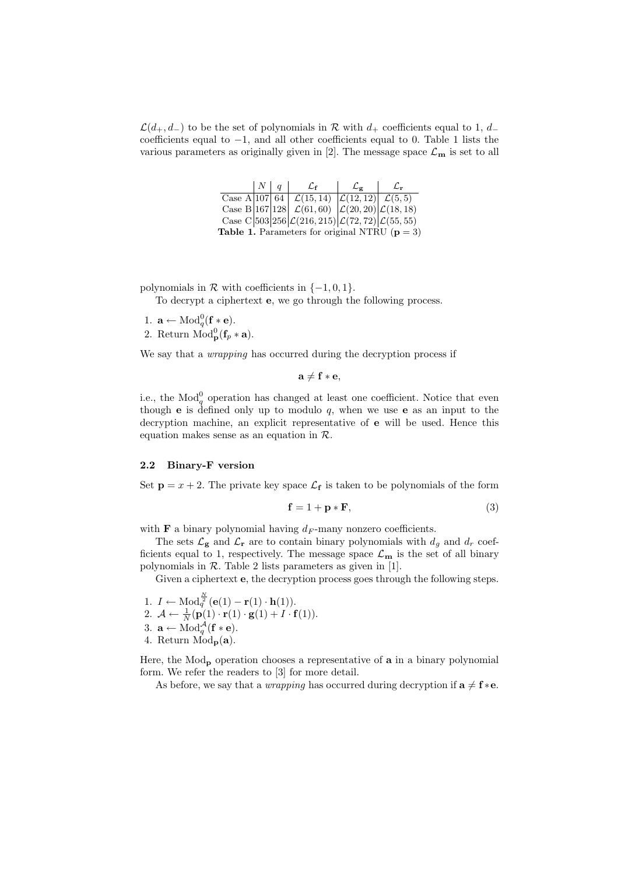$\mathcal{L}(d_+, d_-)$  to be the set of polynomials in R with  $d_+$  coefficients equal to 1,  $d_$ coefficients equal to −1, and all other coefficients equal to 0. Table 1 lists the various parameters as originally given in [2]. The message space  $\mathcal{L}_{\mathbf{m}}$  is set to all

| $N \mid a$ | $\mathcal{L}_{\mathbf{f}}$                                                         | Lo | L. |
|------------|------------------------------------------------------------------------------------|----|----|
|            | Case A 107 64 $\mathcal{L}(15, 14)$ $\mathcal{L}(12, 12)$ $\mathcal{L}(5, 5)$      |    |    |
|            | Case B 167 128 $\mathcal{L}(61,60)$ $\mathcal{L}(20,20)$ $\mathcal{L}(18,18)$      |    |    |
|            | Case C 503 256 $\mathcal{L}(216, 215)$ $\mathcal{L}(72, 72)$ $\mathcal{L}(55, 55)$ |    |    |
|            | Table 1. Parameters for original NTRU ( $p = 3$ )                                  |    |    |

polynomials in  $\mathcal R$  with coefficients in  $\{-1,0,1\}$ .

To decrypt a ciphertext e, we go through the following process.

- 1.  $\mathbf{a} \leftarrow \text{Mod}_q^0(\mathbf{f} * \mathbf{e}).$
- 2. Return  $\text{Mod}_{\mathbf{p}}^0(\mathbf{f}_p * \mathbf{a})$ .

We say that a *wrapping* has occurred during the decryption process if

 $a \neq f * e$ ,

i.e., the  $\text{Mod}_q^0$  operation has changed at least one coefficient. Notice that even though **e** is defined only up to modulo  $q$ , when we use **e** as an input to the decryption machine, an explicit representative of e will be used. Hence this equation makes sense as an equation in R.

#### 2.2 Binary-F version

Set  $\mathbf{p} = x + 2$ . The private key space  $\mathcal{L}_{\mathbf{f}}$  is taken to be polynomials of the form

$$
\mathbf{f} = 1 + \mathbf{p} * \mathbf{F},\tag{3}
$$

with **F** a binary polynomial having  $d_F$ -many nonzero coefficients.

The sets  $\mathcal{L}_{g}$  and  $\mathcal{L}_{r}$  are to contain binary polynomials with  $d_{g}$  and  $d_{r}$  coefficients equal to 1, respectively. The message space  $\mathcal{L}_{m}$  is the set of all binary polynomials in  $R$ . Table 2 lists parameters as given in [1].

Given a ciphertext **e**, the decryption process goes through the following steps.

1.  $I \leftarrow \text{Mod}_q^{\frac{N}{2}}(\mathbf{e}(1) - \mathbf{r}(1) \cdot \mathbf{h}(1)).$ 2.  $\mathcal{A} \leftarrow \frac{1}{N} (\mathbf{p}(1) \cdot \mathbf{r}(1) \cdot \mathbf{g}(1) + I \cdot \mathbf{f}(1)).$ 3.  $\mathbf{a} \leftarrow \text{Mod}_q^{\mathcal{A}}$  $q^{\mathcal{A}}(\mathbf{f} * \mathbf{e}).$ 4. Return  $\dot{Mod}_{\mathbf{p}}(\mathbf{a})$ .

Here, the Mod<sub>p</sub> operation chooses a representative of **a** in a binary polynomial form. We refer the readers to [3] for more detail.

As before, we say that a *wrapping* has occurred during decryption if  $\mathbf{a} \neq \mathbf{f} * \mathbf{e}$ .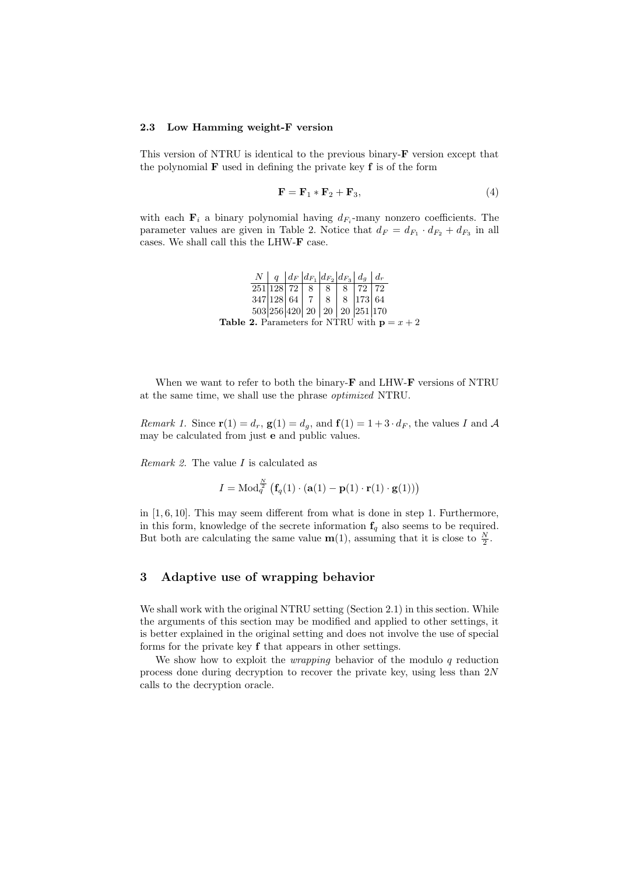#### 2.3 Low Hamming weight-F version

This version of NTRU is identical to the previous binary-F version except that the polynomial  **used in defining the private key**  $**f**$  **is of the form** 

$$
\mathbf{F} = \mathbf{F}_1 \ast \mathbf{F}_2 + \mathbf{F}_3, \tag{4}
$$

with each  $\mathbf{F}_i$  a binary polynomial having  $d_{F_i}$ -many nonzero coefficients. The parameter values are given in Table 2. Notice that  $d_F = d_{F_1} \cdot d_{F_2} + d_{F_3}$  in all cases. We shall call this the LHW-F case.

> $N \mid q \mid d_F \mid d_{F_1} \mid d_{F_2} \mid d_{F_3} \mid d_g \mid d_{F_4}$ 251|128| 72 | 8 | 8 | 8 | 72 | 72 347 | 128 | 64 | 7 | 8 | 8 | 173 | 64 503 256 420 20 20 20 251 170 **Table 2.** Parameters for NTRU with  $p = x + 2$

When we want to refer to both the binary-**F** and LHW-**F** versions of NTRU at the same time, we shall use the phrase optimized NTRU.

Remark 1. Since  $\mathbf{r}(1) = d_r$ ,  $\mathbf{g}(1) = d_g$ , and  $\mathbf{f}(1) = 1 + 3 \cdot d_F$ , the values I and A may be calculated from just e and public values.

Remark 2. The value I is calculated as

$$
I = \text{Mod}_q^{\frac{N}{2}} \left( \mathbf{f}_q(1) \cdot (\mathbf{a}(1) - \mathbf{p}(1) \cdot \mathbf{r}(1) \cdot \mathbf{g}(1)) \right)
$$

in [1, 6, 10]. This may seem different from what is done in step 1. Furthermore, in this form, knowledge of the secrete information  $f_q$  also seems to be required. But both are calculating the same value  $m(1)$ , assuming that it is close to  $\frac{N}{2}$ .

# 3 Adaptive use of wrapping behavior

We shall work with the original NTRU setting (Section 2.1) in this section. While the arguments of this section may be modified and applied to other settings, it is better explained in the original setting and does not involve the use of special forms for the private key f that appears in other settings.

We show how to exploit the *wrapping* behavior of the modulo  $q$  reduction process done during decryption to recover the private key, using less than 2N calls to the decryption oracle.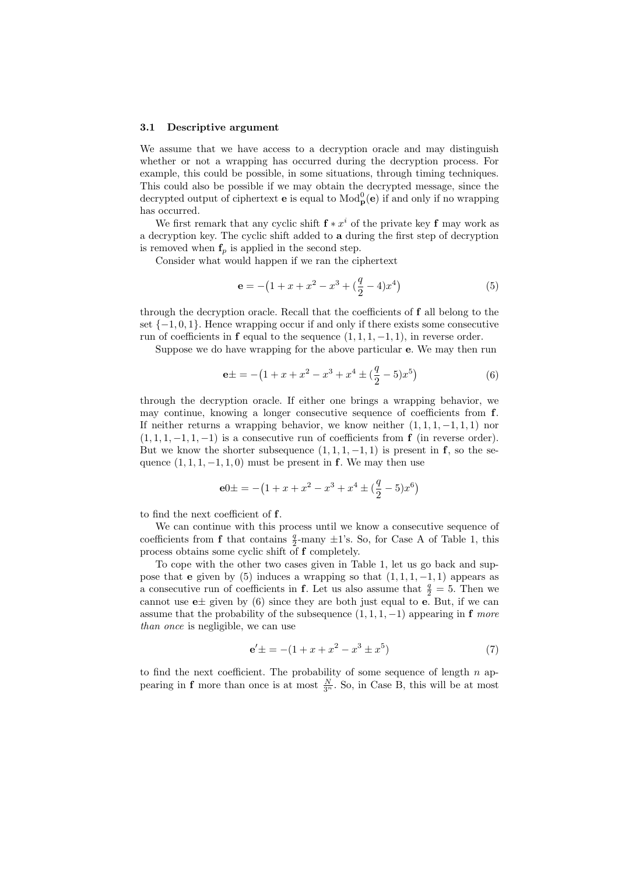#### 3.1 Descriptive argument

We assume that we have access to a decryption oracle and may distinguish whether or not a wrapping has occurred during the decryption process. For example, this could be possible, in some situations, through timing techniques. This could also be possible if we may obtain the decrypted message, since the decrypted output of ciphertext **e** is equal to  $\text{Mod}_{\mathbf{p}}^{0}(\mathbf{e})$  if and only if no wrapping has occurred.

We first remark that any cyclic shift  $f * x^i$  of the private key f may work as a decryption key. The cyclic shift added to a during the first step of decryption is removed when  $f_p$  is applied in the second step.

Consider what would happen if we ran the ciphertext

$$
\mathbf{e} = -\left(1 + x + x^2 - x^3 + \left(\frac{q}{2} - 4\right)x^4\right) \tag{5}
$$

through the decryption oracle. Recall that the coefficients of f all belong to the set  $\{-1,0,1\}$ . Hence wrapping occur if and only if there exists some consecutive run of coefficients in **f** equal to the sequence  $(1, 1, 1, -1, 1)$ , in reverse order.

Suppose we do have wrapping for the above particular e. We may then run

$$
e \pm = -\left(1 + x + x^2 - x^3 + x^4 \pm \left(\frac{q}{2} - 5\right)x^5\right) \tag{6}
$$

through the decryption oracle. If either one brings a wrapping behavior, we may continue, knowing a longer consecutive sequence of coefficients from f. If neither returns a wrapping behavior, we know neither  $(1, 1, 1, -1, 1, 1)$  nor  $(1, 1, 1, -1, 1, -1)$  is a consecutive run of coefficients from **f** (in reverse order). But we know the shorter subsequence  $(1, 1, 1, -1, 1)$  is present in **f**, so the sequence  $(1, 1, 1, -1, 1, 0)$  must be present in **f**. We may then use

$$
e0 \pm \textstyle = -\left(1 + x + x^2 - x^3 + x^4 \pm \left(\frac{q}{2} - 5\right)x^6\right)
$$

to find the next coefficient of f.

We can continue with this process until we know a consecutive sequence of coefficients from **f** that contains  $\frac{q}{2}$ -many  $\pm 1$ 's. So, for Case A of Table 1, this process obtains some cyclic shift of f completely.

To cope with the other two cases given in Table 1, let us go back and suppose that e given by (5) induces a wrapping so that  $(1, 1, 1, -1, 1)$  appears as a consecutive run of coefficients in **f**. Let us also assume that  $\frac{q}{2} = 5$ . Then we cannot use  $e\pm$  given by (6) since they are both just equal to e. But, if we can assume that the probability of the subsequence  $(1, 1, 1, -1)$  appearing in f more than once is negligible, we can use

$$
\mathbf{e}' \pm \, = - (1 + x + x^2 - x^3 \pm x^5) \tag{7}
$$

to find the next coefficient. The probability of some sequence of length  $n$  appearing in **f** more than once is at most  $\frac{N}{3^n}$ . So, in Case B, this will be at most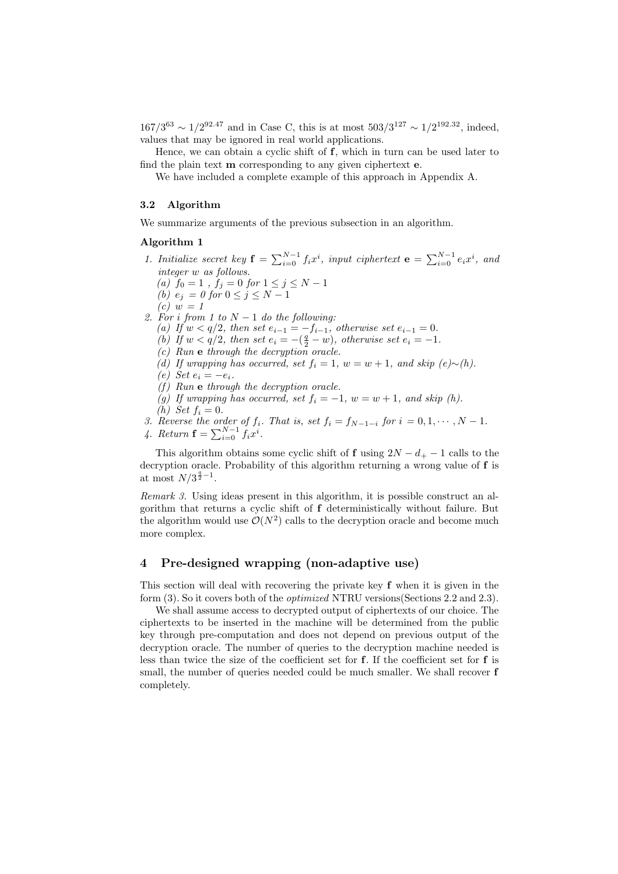$167/3^{63} \sim 1/2^{92.47}$  and in Case C, this is at most  $503/3^{127} \sim 1/2^{192.32}$ , indeed, values that may be ignored in real world applications.

Hence, we can obtain a cyclic shift of f, which in turn can be used later to find the plain text m corresponding to any given ciphertext e.

We have included a complete example of this approach in Appendix A.

#### 3.2 Algorithm

We summarize arguments of the previous subsection in an algorithm.

### Algorithm 1

- 1. Initialize secret key  $\mathbf{f} = \sum_{i=0}^{N-1} f_i x^i$ , input ciphertext  $\mathbf{e} = \sum_{i=0}^{N-1} e_i x^i$ , and integer w as follows.
	- (a)  $f_0 = 1$ ,  $f_j = 0$  for  $1 \le j \le N 1$
	- (b)  $e_j = 0$  for  $0 \le j \le N-1$
	- $(c) w = 1$
- 2. For i from 1 to  $N-1$  do the following:
	- (a) If  $w < q/2$ , then set  $e_{i-1} = -f_{i-1}$ , otherwise set  $e_{i-1} = 0$ .
	- (b) If  $w < q/2$ , then set  $e_i = -(q^q w)$ , otherwise set  $e_i = -1$ .
	- $(c)$  Run e through the decryption oracle.
	- (d) If wrapping has occurred, set  $f_i = 1$ ,  $w = w + 1$ , and skip  $(e) \sim (h)$ .
	- $(e)$  Set  $e_i = -e_i$ .
	- $(f)$  Run e through the decryption oracle.
	- (g) If wrapping has occurred, set  $f_i = -1$ ,  $w = w + 1$ , and skip (h).
	- (h) Set  $f_i = 0$ .
- 3. Reverse the order of  $f_i$ . That is, set  $f_i = f_{N-1-i}$  for  $i = 0, 1, \cdots, N-1$ .
- 4. Return  $\mathbf{f} = \sum_{i=0}^{N-1} f_i x^i$ .

This algorithm obtains some cyclic shift of f using  $2N - d_{+} - 1$  calls to the decryption oracle. Probability of this algorithm returning a wrong value of f is at most  $N/3^{\frac{q}{2}-1}$ .

Remark 3. Using ideas present in this algorithm, it is possible construct an algorithm that returns a cyclic shift of f deterministically without failure. But the algorithm would use  $\mathcal{O}(N^2)$  calls to the decryption oracle and become much more complex.

# 4 Pre-designed wrapping (non-adaptive use)

This section will deal with recovering the private key f when it is given in the form (3). So it covers both of the optimized NTRU versions(Sections 2.2 and 2.3).

We shall assume access to decrypted output of ciphertexts of our choice. The ciphertexts to be inserted in the machine will be determined from the public key through pre-computation and does not depend on previous output of the decryption oracle. The number of queries to the decryption machine needed is less than twice the size of the coefficient set for f. If the coefficient set for f is small, the number of queries needed could be much smaller. We shall recover **f** completely.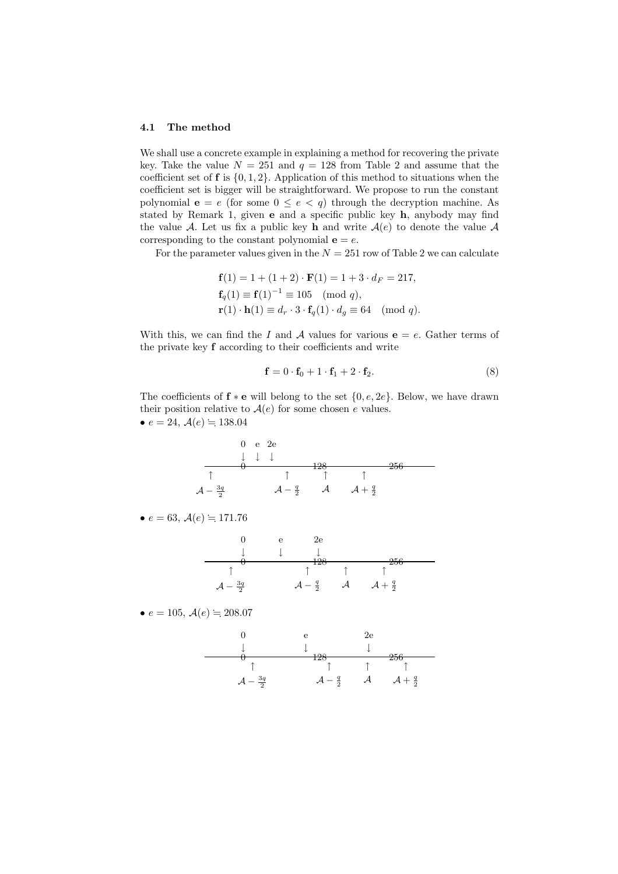#### 4.1 The method

We shall use a concrete example in explaining a method for recovering the private key. Take the value  $N = 251$  and  $q = 128$  from Table 2 and assume that the coefficient set of  $f$  is  $\{0, 1, 2\}$ . Application of this method to situations when the coefficient set is bigger will be straightforward. We propose to run the constant polynomial  $e = e$  (for some  $0 \le e < q$ ) through the decryption machine. As stated by Remark 1, given e and a specific public key h, anybody may find the value A. Let us fix a public key h and write  $A(e)$  to denote the value A corresponding to the constant polynomial  $e = e$ .

For the parameter values given in the  $N = 251$  row of Table 2 we can calculate

$$
\mathbf{f}(1) = 1 + (1+2) \cdot \mathbf{F}(1) = 1 + 3 \cdot d_F = 217,
$$
  
\n
$$
\mathbf{f}_q(1) \equiv \mathbf{f}(1)^{-1} \equiv 105 \pmod{q},
$$
  
\n
$$
\mathbf{r}(1) \cdot \mathbf{h}(1) \equiv d_r \cdot 3 \cdot \mathbf{f}_q(1) \cdot d_g \equiv 64 \pmod{q}.
$$

With this, we can find the I and A values for various  $e = e$ . Gather terms of the private key f according to their coefficients and write

$$
\mathbf{f} = 0 \cdot \mathbf{f}_0 + 1 \cdot \mathbf{f}_1 + 2 \cdot \mathbf{f}_2. \tag{8}
$$

The coefficients of  $f * e$  will belong to the set  $\{0, e, 2e\}$ . Below, we have drawn their position relative to  $A(e)$  for some chosen e values. •  $e = 24, \mathcal{A}(e) = 138.04$ 



0 128 256 0 e 2e ↓ ↓ ↓ A − 3q 2 A − q <sup>2</sup> A A + q 2 ↑ ↑ ↑ ↑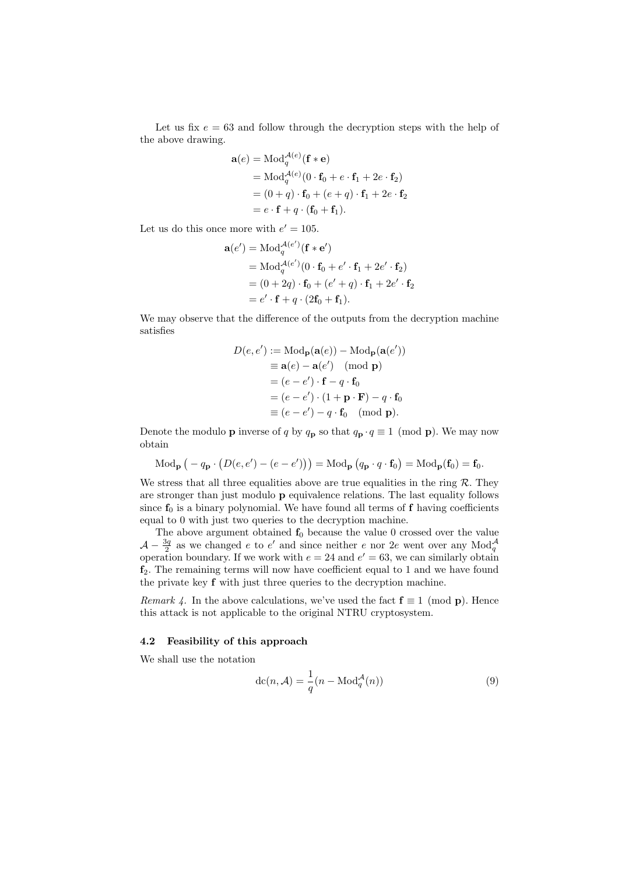Let us fix  $e = 63$  and follow through the decryption steps with the help of the above drawing.

$$
\mathbf{a}(e) = \text{Mod}_q^{A(e)}(\mathbf{f} * \mathbf{e})
$$
  
= 
$$
\text{Mod}_q^{A(e)}(0 \cdot \mathbf{f}_0 + e \cdot \mathbf{f}_1 + 2e \cdot \mathbf{f}_2)
$$
  
= 
$$
(0 + q) \cdot \mathbf{f}_0 + (e + q) \cdot \mathbf{f}_1 + 2e \cdot \mathbf{f}_2
$$
  
= 
$$
e \cdot \mathbf{f} + q \cdot (\mathbf{f}_0 + \mathbf{f}_1).
$$

Let us do this once more with  $e' = 105$ .

$$
\mathbf{a}(e') = \text{Mod}_q^{\mathcal{A}(e')}(\mathbf{f} * \mathbf{e}')
$$
  
= 
$$
\text{Mod}_q^{\mathcal{A}(e')}(\mathbf{0} \cdot \mathbf{f}_0 + e' \cdot \mathbf{f}_1 + 2e' \cdot \mathbf{f}_2)
$$
  
= 
$$
(\mathbf{0} + 2q) \cdot \mathbf{f}_0 + (e' + q) \cdot \mathbf{f}_1 + 2e' \cdot \mathbf{f}_2
$$
  
= 
$$
e' \cdot \mathbf{f} + q \cdot (2\mathbf{f}_0 + \mathbf{f}_1).
$$

We may observe that the difference of the outputs from the decryption machine satisfies

$$
D(e, e') := \text{Mod}_{\mathbf{p}}(\mathbf{a}(e)) - \text{Mod}_{\mathbf{p}}(\mathbf{a}(e'))
$$
  
\n
$$
\equiv \mathbf{a}(e) - \mathbf{a}(e') \pmod{\mathbf{p}}
$$
  
\n
$$
= (e - e') \cdot \mathbf{f} - q \cdot \mathbf{f}_0
$$
  
\n
$$
= (e - e') \cdot (1 + \mathbf{p} \cdot \mathbf{F}) - q \cdot \mathbf{f}_0
$$
  
\n
$$
\equiv (e - e') - q \cdot \mathbf{f}_0 \pmod{\mathbf{p}}.
$$

Denote the modulo **p** inverse of q by  $q_p$  so that  $q_p \cdot q \equiv 1 \pmod{p}$ . We may now obtain

$$
\text{Mod}_{\mathbf{p}}\left(-q_{\mathbf{p}}\cdot\left(D(e,e')-(e-e')\right)\right)=\text{Mod}_{\mathbf{p}}\left(q_{\mathbf{p}}\cdot q\cdot\mathbf{f}_0\right)=\text{Mod}_{\mathbf{p}}(\mathbf{f}_0)=\mathbf{f}_0.
$$

We stress that all three equalities above are true equalities in the ring  $\mathcal{R}$ . They are stronger than just modulo p equivalence relations. The last equality follows since  $f_0$  is a binary polynomial. We have found all terms of f having coefficients equal to 0 with just two queries to the decryption machine.

The above argument obtained  $f_0$  because the value 0 crossed over the value  $\mathcal{A} - \frac{3q}{2}$  as we changed e to e' and since neither e nor 2e went over any Mod<sub>q</sub> q operation boundary. If we work with  $e = 24$  and  $e' = 63$ , we can similarly obtain  $f_2$ . The remaining terms will now have coefficient equal to 1 and we have found the private key f with just three queries to the decryption machine.

Remark 4. In the above calculations, we've used the fact  $f \equiv 1 \pmod{p}$ . Hence this attack is not applicable to the original NTRU cryptosystem.

### 4.2 Feasibility of this approach

We shall use the notation

$$
\mathrm{dc}(n,\mathcal{A}) = \frac{1}{q}(n - \mathrm{Mod}_q^{\mathcal{A}}(n))
$$
\n(9)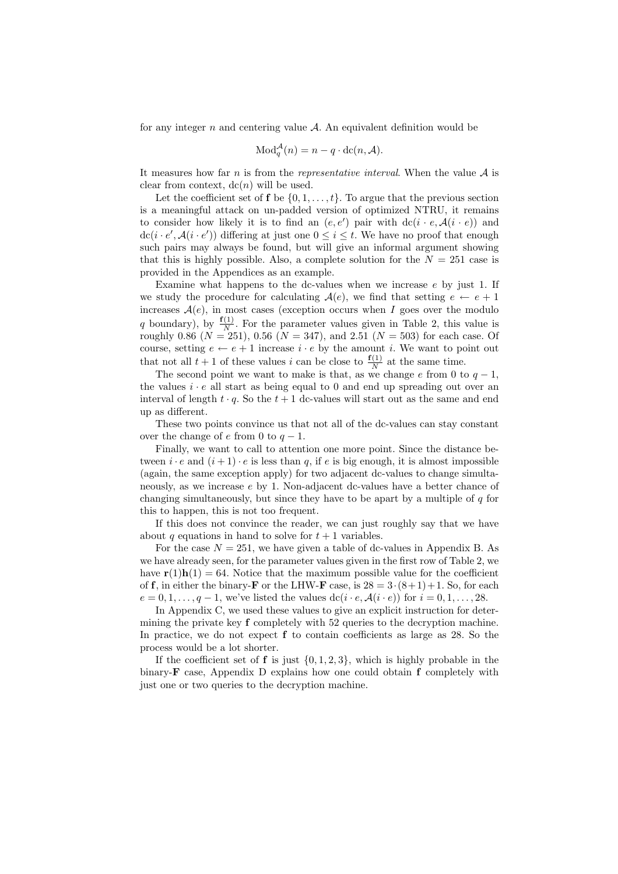for any integer  $n$  and centering value  $A$ . An equivalent definition would be

$$
\text{Mod}_q^{\mathcal{A}}(n) = n - q \cdot \text{dc}(n, \mathcal{A}).
$$

It measures how far n is from the representative interval. When the value  $A$  is clear from context,  $dc(n)$  will be used.

Let the coefficient set of **f** be  $\{0, 1, \ldots, t\}$ . To argue that the previous section is a meaningful attack on un-padded version of optimized NTRU, it remains to consider how likely it is to find an  $(e, e')$  pair with  $dc(i \cdot e, \mathcal{A}(i \cdot e))$  and  $\text{dc}(i \cdot e', \mathcal{A}(i \cdot e'))$  differing at just one  $0 \leq i \leq t$ . We have no proof that enough such pairs may always be found, but will give an informal argument showing that this is highly possible. Also, a complete solution for the  $N = 251$  case is provided in the Appendices as an example.

Examine what happens to the dc-values when we increase e by just 1. If we study the procedure for calculating  $A(e)$ , we find that setting  $e \leftarrow e + 1$ increases  $A(e)$ , in most cases (exception occurs when I goes over the modulo q boundary), by  $\frac{\mathbf{f}(1)}{N}$  $\frac{1}{N}$ . For the parameter values given in Table 2, this value is roughly 0.86 ( $N = 251$ ), 0.56 ( $N = 347$ ), and 2.51 ( $N = 503$ ) for each case. Of course, setting  $e \leftarrow e + 1$  increase  $i \cdot e$  by the amount i. We want to point out that not all  $t + 1$  of these values i can be close to  $\frac{f(1)}{N}$  at the same time.

The second point we want to make is that, as we change e from 0 to  $q-1$ , the values  $i \cdot e$  all start as being equal to 0 and end up spreading out over an interval of length  $t \cdot q$ . So the  $t + 1$  dc-values will start out as the same and end up as different.

These two points convince us that not all of the dc-values can stay constant over the change of e from 0 to  $q-1$ .

Finally, we want to call to attention one more point. Since the distance between  $i \cdot e$  and  $(i+1) \cdot e$  is less than q, if e is big enough, it is almost impossible (again, the same exception apply) for two adjacent dc-values to change simultaneously, as we increase e by 1. Non-adjacent dc-values have a better chance of changing simultaneously, but since they have to be apart by a multiple of  $q$  for this to happen, this is not too frequent.

If this does not convince the reader, we can just roughly say that we have about q equations in hand to solve for  $t + 1$  variables.

For the case  $N = 251$ , we have given a table of dc-values in Appendix B. As we have already seen, for the parameter values given in the first row of Table 2, we have  $\mathbf{r}(1)\mathbf{h}(1) = 64$ . Notice that the maximum possible value for the coefficient of f, in either the binary-**F** or the LHW-**F** case, is  $28 = 3 \cdot (8+1) + 1$ . So, for each  $e = 0, 1, \ldots, q - 1$ , we've listed the values  $dc(i \cdot e, \mathcal{A}(i \cdot e))$  for  $i = 0, 1, \ldots, 28$ .

In Appendix C, we used these values to give an explicit instruction for determining the private key f completely with 52 queries to the decryption machine. In practice, we do not expect f to contain coefficients as large as 28. So the process would be a lot shorter.

If the coefficient set of **f** is just  $\{0, 1, 2, 3\}$ , which is highly probable in the binary- $\bf{F}$  case, Appendix D explains how one could obtain  $\bf{f}$  completely with just one or two queries to the decryption machine.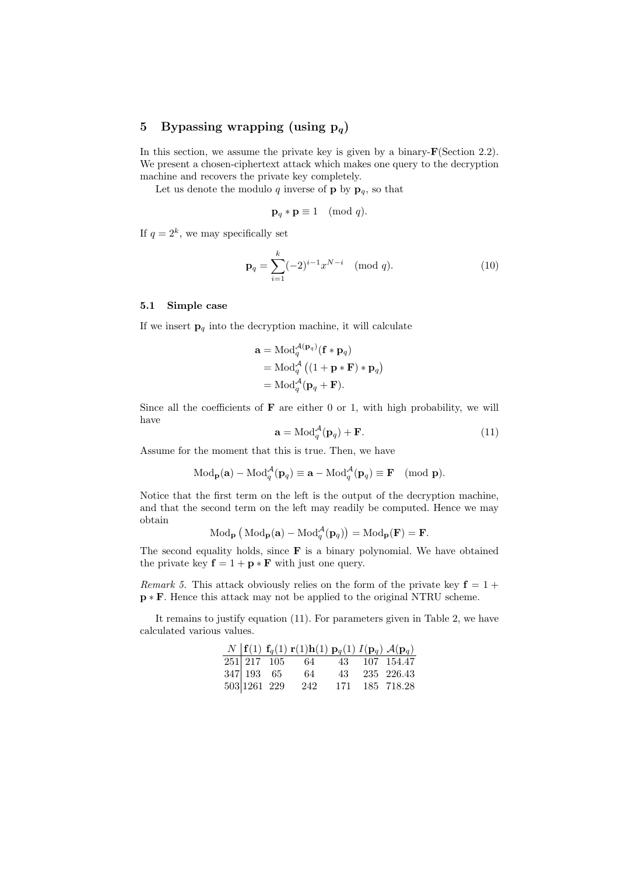# 5 Bypassing wrapping (using  $p_q$ )

In this section, we assume the private key is given by a binary- $\mathbf{F}(\text{Section 2.2}).$ We present a chosen-ciphertext attack which makes one query to the decryption machine and recovers the private key completely.

Let us denote the modulo q inverse of **p** by  $\mathbf{p}_q$ , so that

$$
\mathbf{p}_q * \mathbf{p} \equiv 1 \pmod{q}.
$$

If  $q = 2^k$ , we may specifically set

$$
\mathbf{p}_q = \sum_{i=1}^k (-2)^{i-1} x^{N-i} \pmod{q}.
$$
 (10)

#### 5.1 Simple case

If we insert  $\mathbf{p}_q$  into the decryption machine, it will calculate

$$
\mathbf{a} = \text{Mod}_q^{\mathcal{A}(\mathbf{p}_q)}(\mathbf{f} * \mathbf{p}_q)
$$
  
= 
$$
\text{Mod}_q^{\mathcal{A}}((1 + \mathbf{p} * \mathbf{F}) * \mathbf{p}_q)
$$
  
= 
$$
\text{Mod}_q^{\mathcal{A}}(\mathbf{p}_q + \mathbf{F}).
$$

Since all the coefficients of  $\bf{F}$  are either 0 or 1, with high probability, we will have

$$
\mathbf{a} = \text{Mod}_q^{\mathcal{A}}(\mathbf{p}_q) + \mathbf{F}.\tag{11}
$$

Assume for the moment that this is true. Then, we have

$$
\text{Mod}_{\mathbf{p}}(\mathbf{a}) - \text{Mod}_q^{\mathcal{A}}(\mathbf{p}_q) \equiv \mathbf{a} - \text{Mod}_q^{\mathcal{A}}(\mathbf{p}_q) \equiv \mathbf{F} \pmod{\mathbf{p}}.
$$

Notice that the first term on the left is the output of the decryption machine, and that the second term on the left may readily be computed. Hence we may obtain

$$
\text{Mod}_{\mathbf{p}}\left(\text{Mod}_{\mathbf{p}}(\mathbf{a}) - \text{Mod}_{q}^{\mathcal{A}}(\mathbf{p}_{q})\right) = \text{Mod}_{\mathbf{p}}(\mathbf{F}) = \mathbf{F}.
$$

The second equality holds, since  $\bf{F}$  is a binary polynomial. We have obtained the private key  $f = 1 + p * F$  with just one query.

Remark 5. This attack obviously relies on the form of the private key  $f = 1 +$ p ∗ F. Hence this attack may not be applied to the original NTRU scheme.

It remains to justify equation (11). For parameters given in Table 2, we have calculated various values.

|              | N $\mathbf{f}(1) \mathbf{f}_q(1) \mathbf{r}(1) \mathbf{h}(1) \mathbf{p}_q(1) I(\mathbf{p}_q) \mathcal{A}(\mathbf{p}_q)$ |  |                |
|--------------|-------------------------------------------------------------------------------------------------------------------------|--|----------------|
|              | 251 217 105 64 43 107 154.47                                                                                            |  |                |
| 347 193 65   | 64                                                                                                                      |  | 43 235 226.43  |
| 503 1261 229 | 242                                                                                                                     |  | 171 185 718.28 |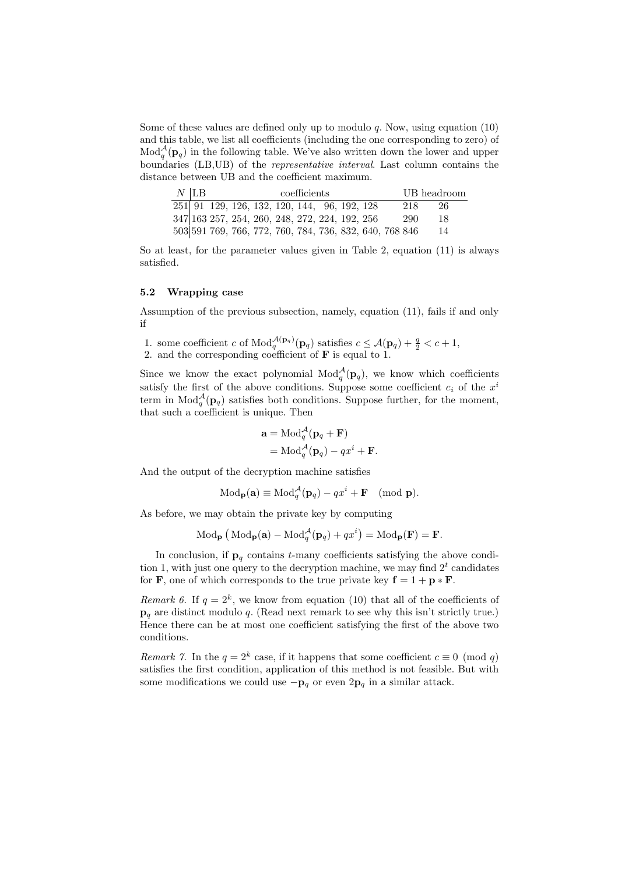Some of these values are defined only up to modulo  $q$ . Now, using equation (10) and this table, we list all coefficients (including the one corresponding to zero) of  $\text{Mod}_q^{\mathcal{A}}$  $q^{\mathcal{A}}(\mathbf{p}_q)$  in the following table. We've also written down the lower and upper boundaries (LB,UB) of the representative interval. Last column contains the distance between UB and the coefficient maximum.

| $N$ LB |                                                           |  | UB headroom |  |  |  |     |      |
|--------|-----------------------------------------------------------|--|-------------|--|--|--|-----|------|
|        | $\overline{251}$ 91 129, 126, 132, 120, 144, 96, 192, 128 |  |             |  |  |  | 218 | -26- |
|        | 347 163 257, 254, 260, 248, 272, 224, 192, 256            |  |             |  |  |  | 290 | 18   |
|        | 503 591 769, 766, 772, 760, 784, 736, 832, 640, 768 846   |  |             |  |  |  |     | 14   |

So at least, for the parameter values given in Table 2, equation (11) is always satisfied.

#### 5.2 Wrapping case

Assumption of the previous subsection, namely, equation (11), fails if and only if

1. some coefficient c of  $Mod_q^{\mathcal{A}(p_q)}(p_q)$  satisfies  $c \leq \mathcal{A}(p_q) + \frac{q}{2} < c + 1$ ,

2. and the corresponding coefficient of  $\bf{F}$  is equal to 1.

Since we know the exact polynomial  $\text{Mod}_q^{\mathcal{A}}$  $q^{\mathcal{A}}(\mathbf{p}_q)$ , we know which coefficients satisfy the first of the above conditions. Suppose some coefficient  $c_i$  of the  $x^i$ term in  $\text{Mod}_q^{\mathcal{A}}$  $q^{\mathcal{A}}(\mathbf{p}_q)$  satisfies both conditions. Suppose further, for the moment, that such a coefficient is unique. Then

$$
\mathbf{a} = \text{Mod}_q^{\mathcal{A}}(\mathbf{p}_q + \mathbf{F})
$$
  
= 
$$
\text{Mod}_q^{\mathcal{A}}(\mathbf{p}_q) - qx^i + \mathbf{F}.
$$

And the output of the decryption machine satisfies

$$
\text{Mod}_{\mathbf{p}}(\mathbf{a}) \equiv \text{Mod}_q^{\mathcal{A}}(\mathbf{p}_q) - qx^i + \mathbf{F} \pmod{\mathbf{p}}.
$$

As before, we may obtain the private key by computing

$$
\text{Mod}_{\mathbf{p}}\left(\text{Mod}_{\mathbf{p}}(\mathbf{a}) - \text{Mod}_{q}^{\mathcal{A}}(\mathbf{p}_{q}) + qx^{i}\right) = \text{Mod}_{\mathbf{p}}(\mathbf{F}) = \mathbf{F}.
$$

In conclusion, if  $\mathbf{p}_q$  contains t-many coefficients satisfying the above condition 1, with just one query to the decryption machine, we may find  $2<sup>t</sup>$  candidates for **F**, one of which corresponds to the true private key  $f = 1 + p * F$ .

Remark 6. If  $q = 2^k$ , we know from equation (10) that all of the coefficients of  $\mathbf{p}_q$  are distinct modulo q. (Read next remark to see why this isn't strictly true.) Hence there can be at most one coefficient satisfying the first of the above two conditions.

*Remark 7.* In the  $q = 2^k$  case, if it happens that some coefficient  $c \equiv 0 \pmod{q}$ satisfies the first condition, application of this method is not feasible. But with some modifications we could use  $-\mathbf{p}_q$  or even  $2\mathbf{p}_q$  in a similar attack.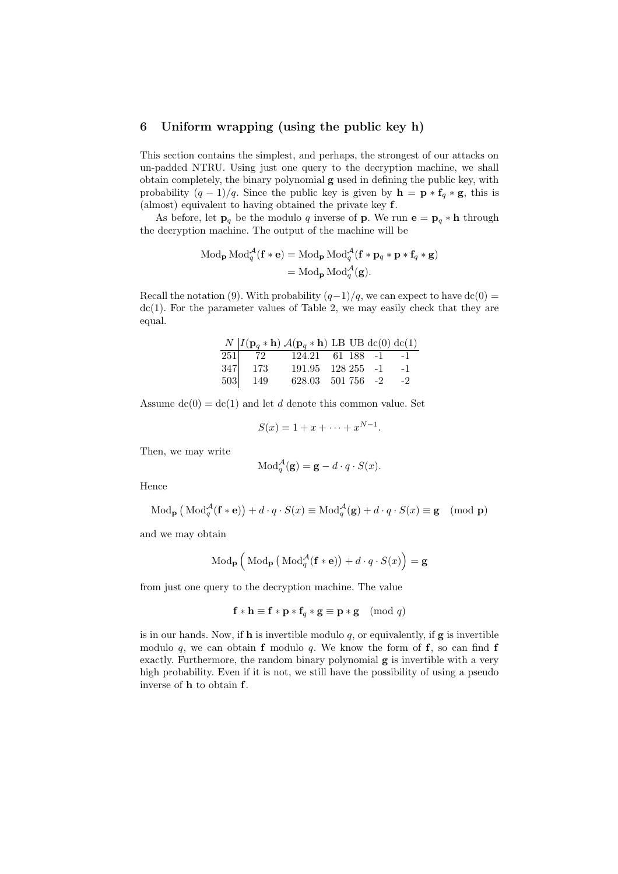### 6 Uniform wrapping (using the public key h)

This section contains the simplest, and perhaps, the strongest of our attacks on un-padded NTRU. Using just one query to the decryption machine, we shall obtain completely, the binary polynomial g used in defining the public key, with probability  $(q-1)/q$ . Since the public key is given by  $\mathbf{h} = \mathbf{p} * \mathbf{f}_q * \mathbf{g}$ , this is (almost) equivalent to having obtained the private key f.

As before, let  $\mathbf{p}_q$  be the modulo q inverse of **p**. We run  $\mathbf{e} = \mathbf{p}_q * \mathbf{h}$  through the decryption machine. The output of the machine will be

$$
\text{Mod}_{\mathbf{p}} \text{Mod}_{q}^{\mathcal{A}}(\mathbf{f} * \mathbf{e}) = \text{Mod}_{\mathbf{p}} \text{Mod}_{q}^{\mathcal{A}}(\mathbf{f} * \mathbf{p}_{q} * \mathbf{p} * \mathbf{f}_{q} * \mathbf{g})
$$

$$
= \text{Mod}_{\mathbf{p}} \text{Mod}_{q}^{\mathcal{A}}(\mathbf{g}).
$$

Recall the notation (9). With probability  $(q-1)/q$ , we can expect to have dc(0) =  $dc(1)$ . For the parameter values of Table 2, we may easily check that they are equal.

|                                           |      | $N   I(\mathbf{p}_q * \mathbf{h}) \mathcal{A}(\mathbf{p}_q * \mathbf{h})$ LB UB dc(0) dc(1) |  |      |
|-------------------------------------------|------|---------------------------------------------------------------------------------------------|--|------|
| 251                                       |      | 72 124.21 61 188 -1 -1                                                                      |  |      |
| $\begin{array}{c} 347 \\ 503 \end{array}$ | -173 | $191.95$ $128.255$ $-1$ $-1$                                                                |  |      |
|                                           | -149 | $628.03$ $501\,756$ -2                                                                      |  | $-2$ |

Assume  $dc(0) = dc(1)$  and let d denote this common value. Set

$$
S(x) = 1 + x + \dots + x^{N-1}.
$$

Then, we may write

$$
Mod_q^{\mathcal{A}}(\mathbf{g}) = \mathbf{g} - d \cdot q \cdot S(x).
$$

Hence

$$
\text{Mod}_{\mathbf{p}}\left(\text{Mod}_{q}^{\mathcal{A}}(\mathbf{f} * \mathbf{e})\right) + d \cdot q \cdot S(x) \equiv \text{Mod}_{q}^{\mathcal{A}}(\mathbf{g}) + d \cdot q \cdot S(x) \equiv \mathbf{g} \pmod{\mathbf{p}}
$$

and we may obtain

$$
\text{Mod}_{\mathbf{p}}\left(\text{Mod}_{\mathbf{p}}^{\mathcal{A}}(\mathbf{f}*\mathbf{e})\right) + d \cdot q \cdot S(x)\right) = \mathbf{g}
$$

from just one query to the decryption machine. The value

$$
\mathbf{f} * \mathbf{h} \equiv \mathbf{f} * \mathbf{p} * \mathbf{f}_q * \mathbf{g} \equiv \mathbf{p} * \mathbf{g} \pmod{q}
$$

is in our hands. Now, if  **is invertible modulo**  $q$ **, or equivalently, if**  $**g**$  **is invertible** modulo q, we can obtain **f** modulo q. We know the form of **f**, so can find **f** exactly. Furthermore, the random binary polynomial g is invertible with a very high probability. Even if it is not, we still have the possibility of using a pseudo inverse of h to obtain f.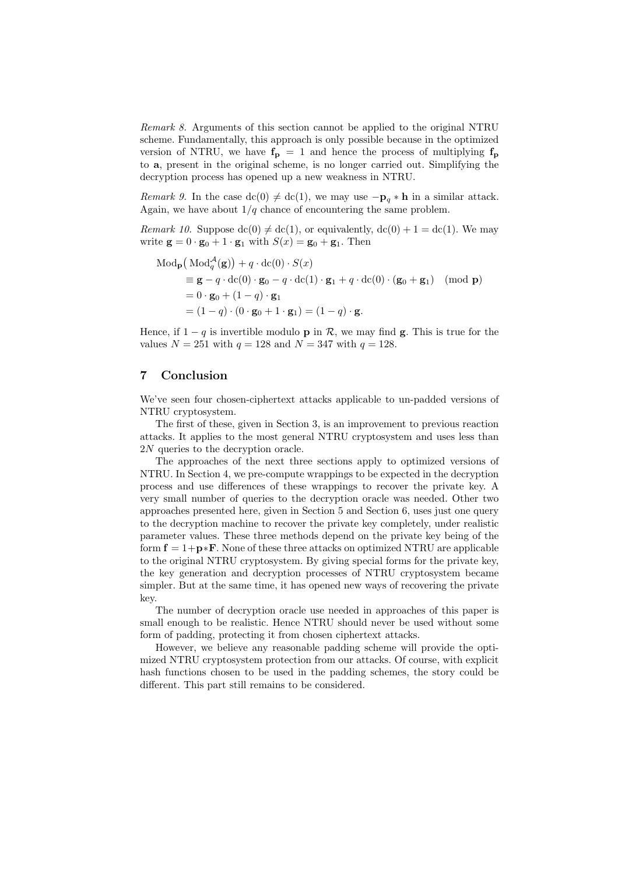Remark 8. Arguments of this section cannot be applied to the original NTRU scheme. Fundamentally, this approach is only possible because in the optimized version of NTRU, we have  $f_{\text{p}} = 1$  and hence the process of multiplying  $f_{\text{p}}$ to a, present in the original scheme, is no longer carried out. Simplifying the decryption process has opened up a new weakness in NTRU.

Remark 9. In the case dc(0)  $\neq$  dc(1), we may use  $-p_q * h$  in a similar attack. Again, we have about  $1/q$  chance of encountering the same problem.

*Remark 10.* Suppose  $\text{dc}(0) \neq \text{dc}(1)$ , or equivalently,  $\text{dc}(0) + 1 = \text{dc}(1)$ . We may write  $\mathbf{g} = 0 \cdot \mathbf{g}_0 + 1 \cdot \mathbf{g}_1$  with  $S(x) = \mathbf{g}_0 + \mathbf{g}_1$ . Then

$$
\begin{aligned} \text{Mod}_{\mathbf{p}}\big(\text{Mod}_{q}^{\mathcal{A}}(\mathbf{g})\big) + q \cdot \text{dc}(0) \cdot S(x) \\ &= \mathbf{g} - q \cdot \text{dc}(0) \cdot \mathbf{g}_{0} - q \cdot \text{dc}(1) \cdot \mathbf{g}_{1} + q \cdot \text{dc}(0) \cdot (\mathbf{g}_{0} + \mathbf{g}_{1}) \pmod{\mathbf{p}} \\ &= 0 \cdot \mathbf{g}_{0} + (1 - q) \cdot \mathbf{g}_{1} \\ &= (1 - q) \cdot (0 \cdot \mathbf{g}_{0} + 1 \cdot \mathbf{g}_{1}) = (1 - q) \cdot \mathbf{g}. \end{aligned}
$$

Hence, if  $1 - q$  is invertible modulo **p** in  $\mathcal{R}$ , we may find **g**. This is true for the values  $N = 251$  with  $q = 128$  and  $N = 347$  with  $q = 128$ .

### 7 Conclusion

We've seen four chosen-ciphertext attacks applicable to un-padded versions of NTRU cryptosystem.

The first of these, given in Section 3, is an improvement to previous reaction attacks. It applies to the most general NTRU cryptosystem and uses less than 2N queries to the decryption oracle.

The approaches of the next three sections apply to optimized versions of NTRU. In Section 4, we pre-compute wrappings to be expected in the decryption process and use differences of these wrappings to recover the private key. A very small number of queries to the decryption oracle was needed. Other two approaches presented here, given in Section 5 and Section 6, uses just one query to the decryption machine to recover the private key completely, under realistic parameter values. These three methods depend on the private key being of the form  $f = 1+p*F$ . None of these three attacks on optimized NTRU are applicable to the original NTRU cryptosystem. By giving special forms for the private key, the key generation and decryption processes of NTRU cryptosystem became simpler. But at the same time, it has opened new ways of recovering the private key.

The number of decryption oracle use needed in approaches of this paper is small enough to be realistic. Hence NTRU should never be used without some form of padding, protecting it from chosen ciphertext attacks.

However, we believe any reasonable padding scheme will provide the optimized NTRU cryptosystem protection from our attacks. Of course, with explicit hash functions chosen to be used in the padding schemes, the story could be different. This part still remains to be considered.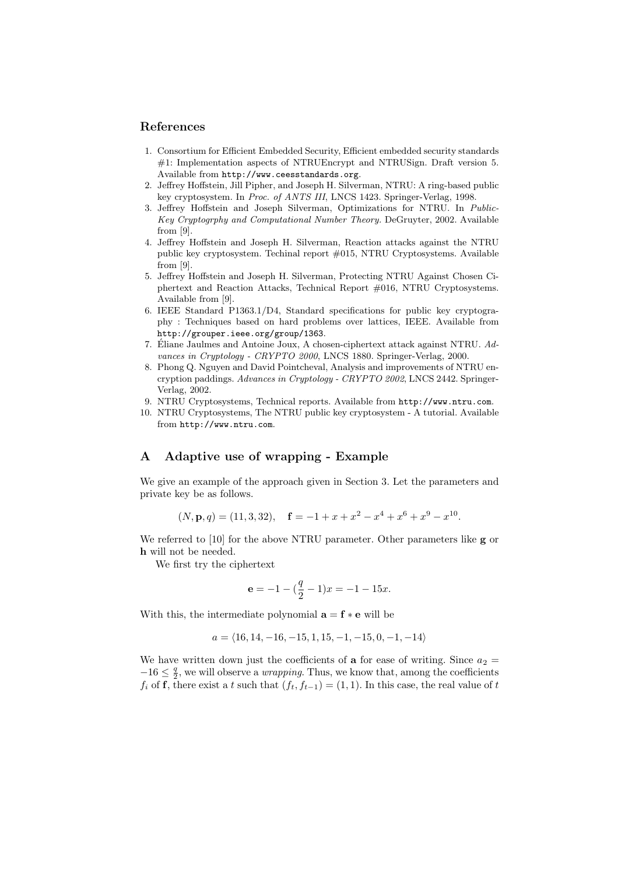### References

- 1. Consortium for Efficient Embedded Security, Efficient embedded security standards #1: Implementation aspects of NTRUEncrypt and NTRUSign. Draft version 5. Available from http://www.ceesstandards.org.
- 2. Jeffrey Hoffstein, Jill Pipher, and Joseph H. Silverman, NTRU: A ring-based public key cryptosystem. In Proc. of ANTS III, LNCS 1423. Springer-Verlag, 1998.
- 3. Jeffrey Hoffstein and Joseph Silverman, Optimizations for NTRU. In Public-Key Cryptogrphy and Computational Number Theory. DeGruyter, 2002. Available from [9].
- 4. Jeffrey Hoffstein and Joseph H. Silverman, Reaction attacks against the NTRU public key cryptosystem. Techinal report #015, NTRU Cryptosystems. Available from [9].
- 5. Jeffrey Hoffstein and Joseph H. Silverman, Protecting NTRU Against Chosen Ciphertext and Reaction Attacks, Technical Report #016, NTRU Cryptosystems. Available from [9].
- 6. IEEE Standard P1363.1/D4, Standard specifications for public key cryptography : Techniques based on hard problems over lattices, IEEE. Available from http://grouper.ieee.org/group/1363.
- 7. Éliane Jaulmes and Antoine Joux, A chosen-ciphertext attack against NTRU. Advances in Cryptology - CRYPTO 2000, LNCS 1880. Springer-Verlag, 2000.
- 8. Phong Q. Nguyen and David Pointcheval, Analysis and improvements of NTRU encryption paddings. Advances in Cryptology - CRYPTO 2002, LNCS 2442. Springer-Verlag, 2002.
- 9. NTRU Cryptosystems, Technical reports. Available from http://www.ntru.com.
- 10. NTRU Cryptosystems, The NTRU public key cryptosystem A tutorial. Available from http://www.ntru.com.

# A Adaptive use of wrapping - Example

We give an example of the approach given in Section 3. Let the parameters and private key be as follows.

$$
(N, \mathbf{p}, q) = (11, 3, 32), \quad \mathbf{f} = -1 + x + x^2 - x^4 + x^6 + x^9 - x^{10}.
$$

We referred to [10] for the above NTRU parameter. Other parameters like **g** or h will not be needed.

We first try the ciphertext

$$
\mathbf{e} = -1 - \left(\frac{q}{2} - 1\right)x = -1 - 15x.
$$

With this, the intermediate polynomial  $\mathbf{a} = \mathbf{f} * \mathbf{e}$  will be

$$
a = \langle 16, 14, -16, -15, 1, 15, -1, -15, 0, -1, -14 \rangle
$$

We have written down just the coefficients of **a** for ease of writing. Since  $a_2 =$  $-16 \leq \frac{q}{2}$  $\frac{q}{2}$ , we will observe a *wrapping*. Thus, we know that, among the coefficients  $f_i$  of f, there exist a t such that  $(f_t, f_{t-1}) = (1, 1)$ . In this case, the real value of t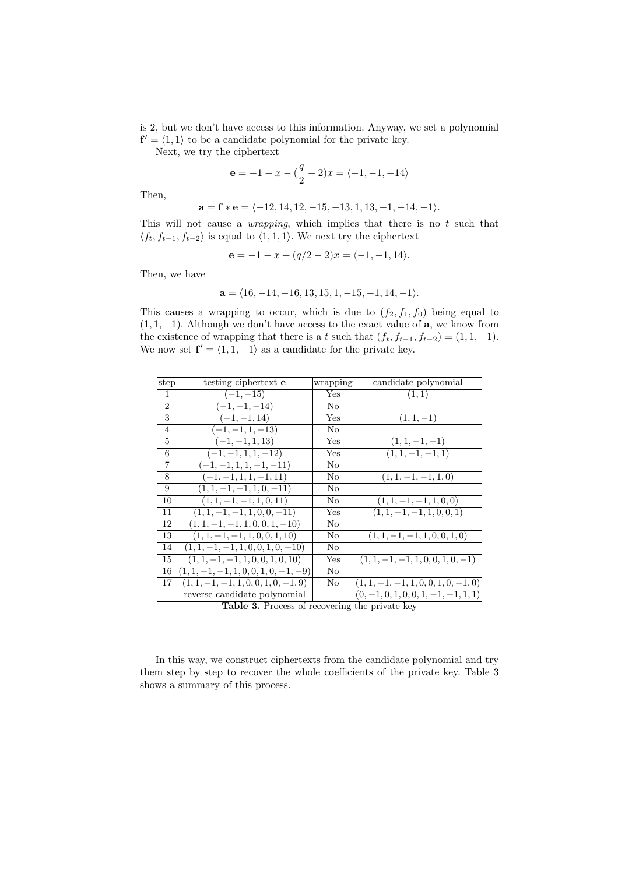is 2, but we don't have access to this information. Anyway, we set a polynomial  $f' = \langle 1, 1 \rangle$  to be a candidate polynomial for the private key.

Next, we try the ciphertext

$$
\mathbf{e} = -1 - x - \left(\frac{q}{2} - 2\right)x = \langle -1, -1, -14 \rangle
$$

Then,

$$
\mathbf{a} = \mathbf{f} * \mathbf{e} = \langle -12, 14, 12, -15, -13, 1, 13, -1, -14, -1 \rangle.
$$

This will not cause a *wrapping*, which implies that there is no  $t$  such that  $\langle f_t, f_{t-1}, f_{t-2} \rangle$  is equal to  $\langle 1, 1, 1 \rangle$ . We next try the ciphertext

$$
\mathbf{e} = -1 - x + (q/2 - 2)x = \langle -1, -1, 14 \rangle.
$$

Then, we have

$$
\mathbf{a} = \langle 16, -14, -16, 13, 15, 1, -15, -1, 14, -1 \rangle.
$$

This causes a wrapping to occur, which is due to  $(f_2, f_1, f_0)$  being equal to  $(1, 1, -1)$ . Although we don't have access to the exact value of **a**, we know from the existence of wrapping that there is a t such that  $(f_t, f_{t-1}, f_{t-2}) = (1, 1, -1)$ . We now set  $f' = \langle 1, 1, -1 \rangle$  as a candidate for the private key.

| step           | testing ciphertext <b>e</b>             | wrapping | candidate polynomial                   |
|----------------|-----------------------------------------|----------|----------------------------------------|
| 1              | $(-1, -15)$                             | Yes      | (1, 1)                                 |
| $\overline{2}$ | $(-1, -1, -14)$                         | No       |                                        |
| 3              | $(-1, -1, 14)$                          | Yes      | $(1, 1, -1)$                           |
| $\overline{4}$ | $(-1, -1, 1, -13)$                      | No       |                                        |
| 5              | $(-1, -1, 1, 13)$                       | Yes      | $(1, 1, -1, -1)$                       |
| 6              | $\overline{(-1,-1,1,1,-12)}$            | Yes      | $(1, 1, -1, -1, 1)$                    |
| $\overline{7}$ | $(-1, -1, 1, 1, -1, -11)$               | No       |                                        |
| 8              | $(-1, -1, 1, 1, -1, 11)$                | No       | $(1, 1, -1, -1, 1, 0)$                 |
| 9              | $(1, 1, -1, -1, 1, 0, -11)$             | No       |                                        |
| 10             | $(1, 1, -1, -1, 1, 0, 11)$              | No       | $(1, 1, -1, -1, 1, 0, 0)$              |
| 11             | $(1, 1, -1, -1, 1, 0, 0, -11)$          | Yes      | $(1, 1, -1, -1, 1, 0, 0, 1)$           |
| 12             | $(1, 1, -1, -1, 1, 0, 0, 1, -10)$       | No       |                                        |
| 13             | $(1, 1, -1, -1, 1, 0, 0, 1, 10)$        | No       | $(1, 1, -1, -1, 1, 0, 0, 1, 0)$        |
| 14             | $(1, 1, -1, -1, 1, 0, 0, 1, 0, -10)$    | No       |                                        |
| 15             | $(1, 1, -1, -1, 1, 0, 0, 1, 0, 10)$     | Yes      | $(1, 1, -1, -1, 1, 0, 0, 1, 0, -1)$    |
| 16             | $(1, 1, -1, -1, 1, 0, 0, 1, 0, -1, -9)$ | No       |                                        |
| 17             | $(1, 1, -1, -1, 1, 0, 0, 1, 0, -1, 9)$  | No       | $(1, 1, -1, -1, 1, 0, 0, 1, 0, -1, 0)$ |
|                | reverse candidate polynomial            |          | $(0, -1, 0, 1, 0, 0, 1, -1, -1, 1, 1)$ |
|                |                                         |          |                                        |

Table 3. Process of recovering the private key

In this way, we construct ciphertexts from the candidate polynomial and try them step by step to recover the whole coefficients of the private key. Table 3 shows a summary of this process.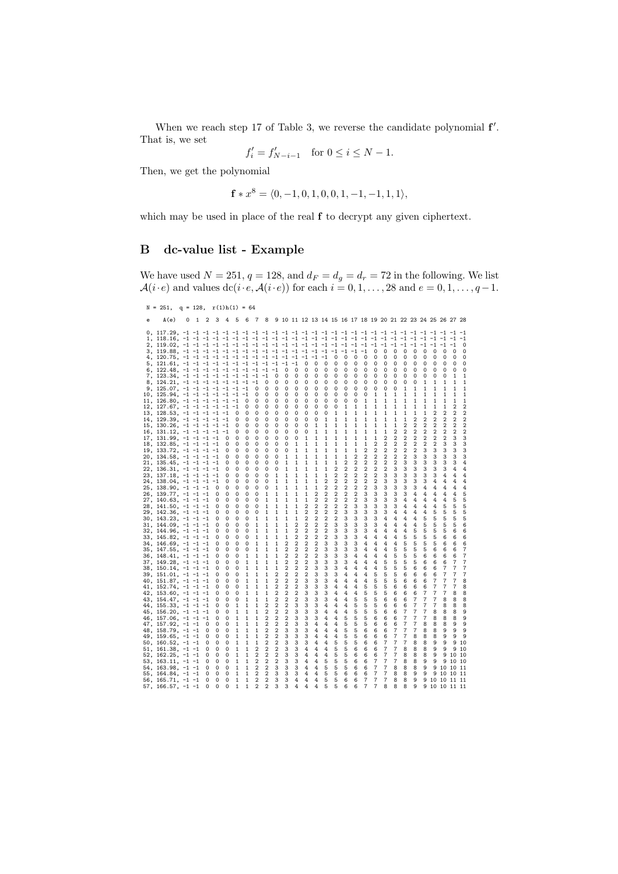When we reach step 17 of Table 3, we reverse the candidate polynomial  $f'$ . That is, we set

$$
f_i' = f_{N-i-1}' \quad \text{for } 0 \le i \le N-1.
$$

Then, we get the polynomial

$$
\mathbf{f} * x^8 = \langle 0, -1, 0, 1, 0, 0, 1, -1, -1, 1, 1 \rangle,
$$

which may be used in place of the real  $f$  to decrypt any given ciphertext.

## B dc-value list - Example

We have used  $N = 251$ ,  $q = 128$ , and  $d_F = d_q = d_r = 72$  in the following. We list  $\mathcal{A}(i\cdot e)$  and values  $dc(i\cdot e, \mathcal{A}(i\cdot e))$  for each  $i = 0, 1, \ldots, 28$  and  $e = 0, 1, \ldots, q-1$ .

```
N = 251, q = 128, r(1)h(1) = 64e A(e) 0 1 2 3 4 5 6 7 8 9 10 11 12 13 14 15 16 17 18 19 20 21 22 23 24 25 26 27 28
0, 117.29, -1 -1 -1 -1 -1 -1 -1 -1 -1 -1 -1 -1 -1 -1 -1 -1 -1 -1 -1 -1 -1 -1 -1 -1 -1 -1 -1 -1 -1
1, 118.16, -1 -1 -1 -1 -1 -1 -1 -1 -1 -1 -1 -1 -1 -1 -1 -1 -1 -1 -1 -1 -1 -1 -1 -1 -1 -1 -1 -1 -1
2, 119.02, -1 -1 -1 -1 -1 -1 -1 -1 -1 -1 -1 -1 -1 -1 -1 -1 -1 -1 -1 -1 -1 -1 -1 -1 -1 -1 -1 -1 0
3, 119.88, -1 -1 -1 -1 -1 -1 -1 -1 -1 -1 -1 -1 -1 -1 -1 -1 -1 -1 -1 0 0 0 0 0 0 0 0 0 0
4, 120.75, -1 -1 -1 -1 -1 -1 -1 -1 -1 -1 -1 -1 -1 -1 -1 0 0 0 0 0 0 0 0 0 0 0 0 0 0
5, 121.61, -1 -1 -1 -1 -1 -1 -1 -1 -1 -1 -1 -1 0 0 0 0 0 0 0 0 0 0 0 0 0 0 0 0 0
6, 122.48, -1 -1 -1 -1 -1 -1 -1 -1 -1 -1 0 0 0 0 0 0 0 0 0 0 0 0 0 0 0 0 0 0 0
7, 123.34, -1 -1 -1 -1 -1 -1 -1 -1 -1 0 0 0 0 0 0 0 0 0 0 0 0 0 0 0 0 0 0 1 1
8, 124.21, -1 -1 -1 -1 -1 -1 -1 -1 0 0 0 0 0 0 0 0 0 0 0 0 0 0 0 0 1 1 1 1 1
9, 125.07, -1 -1 -1 -1 -1 -1 -1 0 0 0 0 0 0 0 0 0 0 0 0 0 0 0 1 1 1 1 1 1 1
10, 125.94, -1 -1 -1 -1 -1 -1 -1 0 0 0 0 0 0 0 0 0 0 0 0 1 1 1 1 1 1 1 1 1 1
11, 126.80, -1 -1 -1 -1 -1 -1 0 0 0 0 0 0 0 0 0 0 0 0 1 1 1 1 1 1 1 1 1 1 1
12, 127.67, -1 -1 -1 -1 -1 -1 0 0 0 0 0 0 0 0 0 0 1 1 1 1 1 1 1 1 1 1 1 2 2
13, 128.53, -1 -1 -1 -1 -1 0 0 0 0 0 0 0 0 0 0 1 1 1 1 1 1 1 1 1 1 2 2 2 2
14, 129.39, -1 -1 -1 -1 -1 0 0 0 0 0 0 0 0 0 1 1 1 1 1 1 1 1 1 2 2 2 2 2 2
15, 130.26, -1 -1 -1 -1 -1 0 0 0 0 0 0 0 0 1 1 1 1 1 1 1 1 1 2 2 2 2 2 2 2
16, 131.12, -1 -1 -1 -1 -1 0 0 0 0 0 0 0 0 1 1 1 1 1 1 1 1 2 2 2 2 2 2 2 2
17, 131.99, -1 -1 -1 -1 0 0 0 0 0 0 0 0 1 1 1 1 1 1 1 1 2 2 2 2 2 2 2 3 3
18, 132.85, -1 -1 -1 -1 0 0 0 0 0 0 0 1 1 1 1 1 1 1 1 2 2 2 2 2 2 2 3 3 3
19, 133.72, -1 -1 -1 -1 0 0 0 0 0 0 0 1 1 1 1 1 1 1 2 2 2 2 2 2 3 3 3 3 3
20, 134.58, -1 -1 -1 -1 0 0 0 0 0 0 1 1 1 1 1 1 1 2 2 2 2 2 2 3 3 3 3 3 3
21, 135.45, -1 -1 -1 -1 0 0 0 0 0 0 1 1 1 1 1 1 2 2 2 2 2 2 3 3 3 3 3 3 4
22, 136.31, -1 -1 -1 -1 0 0 0 0 0 0 1 1 1 1 1 2 2 2 2 2 2 3 3 3 3 3 3 4 4
23, 137.18, -1 -1 -1 -1 0 0 0 0 0 1 1 1 1 1 1 2 2 2 2 2 3 3 3 3 3 3 4 4 4
24, 138.04, -1 -1 -1 -1 0 0 0 0 0 1 1 1 1 1 2 2 2 2 2 2 3 3 3 3 3 4 4 4 4
25, 138.90, -1 -1 -1 0 0 0 0 0 0 1 1 1 1 1 2 2 2 2 2 3 3 3 3 3 4 4 4 4 4
26, 139.77, -1 -1 -1 0 0 0 0 0 1 1 1 1 1 2 2 2 2 2 3 3 3 3 3 4 4 4 4 4 5
27, 140.63, -1 -1 -1 0 0 0 0 0 1 1 1 1 1 2 2 2 2 2 3 3 3 3 4 4 4 4 4 5 5
28, 141.50, -1 -1 -1 0 0 0 0 0 1 1 1 1 2 2 2 2 2 3 3 3 3 3 4 4 4 4 5 5 5
29, 142.36, -1 -1 -1 0 0 0 0 0 1 1 1 1 2 2 2 2 3 3 3 3 3 4 4 4 4 5 5 5 5
30, 143.23, -1 -1 -1 0 0 0 0 1 1 1 1 1 2 2 2 2 3 3 3 3 4 4 4 4 5 5 5 5 5
31, 144.09, -1 -1 -1 0 0 0 0 1 1 1 1 2 2 2 2 3 3 3 3 3 4 4 4 4 5 5 5 5 6
32, 144.96, -1 -1 -1 0 0 0 0 1 1 1 1 2 2 2 2 3 3 3 3 4 4 4 4 5 5 5 5 6 6
33, 145.82, -1 -1 -1 0 0 0 0 1 1 1 1 2 2 2 2 3 3 3 4 4 4 4 5 5 5 5 6 6 6
34, 146.69, -1 -1 -1 0 0 0 0 1 1 1 2 2 2 2 3 3 3 3 4 4 4 4 5 5 5 5 6 6 6
35, 147.55, -1 -1 -1 0 0 0 0 1 1 1 2 2 2 2 3 3 3 3 4 4 4 5 5 5 5 6 6 6 7
36, 148.41, -1 -1 -1 0 0 0 1 1 1 1 2 2 2 2 3 3 3 4 4 4 4 5 5 5 6 6 6 6 7
37, 149.28, -1 -1 -1 0 0 0 1 1 1 1 2 2 2 3 3 3 3 4 4 4 5 5 5 5 6 6 6 7 7
38, 150.14, -1 -1 -1 0 0 0 1 1 1 1 2 2 2 3 3 3 4 4 4 4 5 5 5 6 6 6 7 7 7
39, 151.01, -1 -1 -1 0 0 0 1 1 1 2 2 2 2 3 3 3 4 4 4 5 5 5 6 6 6 6 7 7 7
40, 151.87, -1 -1 -1 0 0 0 1 1 1 2 2 2 3 3 3 4 4 4 4 5 5 5 6 6 6 7 7 7 8
41, 152.74, -1 -1 -1 0 0 0 1 1 1 2 2 2 3 3 3 4 4 4 5 5 5 6 6 6 6 7 7 7 8
42, 153.60, -1 -1 -1 0 0 0 1 1 1 2 2 2 3 3 3 4 4 4 5 5 5 6 6 6 7 7 7 8 8
43, 154.47, -1 -1 -1 0 0 0 1 1 1 2 2 2 3 3 3 4 4 5 5 5 6 6 6 7 7 7 8 8 8
44, 155.33, -1 -1 -1 0 0 1 1 1 2 2 2 3 3 3 4 4 4 5 5 5 6 6 6 7 7 7 8 8 8
45, 156.20, -1 -1 -1 0 0 1 1 1 2 2 2 3 3 3 4 4 4 5 5 5 6 6 7 7 7 8 8 8 9
46, 157.06, -1 -1 -1 0 0 1 1 1 2 2 2 3 3 3 4 4 5 5 5 6 6 6 7 7 7 8 8 8 9
47, 157.92, -1 -1 0 0 0 1 1 1 2 2 2 3 3 4 4 4 5 5 5 6 6 6 7 7 8 8 8 9 9
48, 158.79, -1 -1 0 0 0 1 1 1 2 2 3 3 3 4 4 4 5 5 6 6 6 7 7 7 8 8 9 9 9
49, 159.65, -1 -1 0 0 0 1 1 1 2 2 3 3 3 4 4 4 5 5 6 6 6 7 7 8 8 8 9 9 9
50, 160.52, -1 -1 0 0 0 1 1 1 2 2 3 3 3 4 4 5 5 5 6 6 7 7 7 8 8 9 9 9 10
51, 161.38, -1 -1 0 0 0 1 1 2 2 2 3 3 4 4 4 5 5 6 6 6 7 7 8 8 8 9 9 9 10
52, 162.25, -1 -1 0 0 0 1 1 2 2 2 3 3 4 4 4 5 5 6 6 6 7 7 8 8 8 9 9 10 10
53, 163.11, -1 -1 0 0 0 1 1 2 2 2 3 3 4 4 5 5 5 6 6 7 7 7 8 8 9 9 9 10 10
54, 163.98, -1 -1 0 0 0 1 1 2 2 3 3 3 4 4 5 5 5 6 6 7 7 8 8 8 9 9 10 10 11
55, 164.84, -1 -1 0 0 0 1 1 2 2 3 3 3 4 4 5 5 6 6 6 7 7 8 8 9 9 9 10 10 11
56, 165.71, -1 -1 0 0 0 1 1 2 2 3 3 4 4 4 5 5 6 6 7 7 7 8 8 9 9 10 10 11 11
57, 166.57, -1 -1 0 0 0 1 1 2 2 3 3 4 4 4 5 5 6 6 7 7 8 8 8 9 9 10 10 11 11
```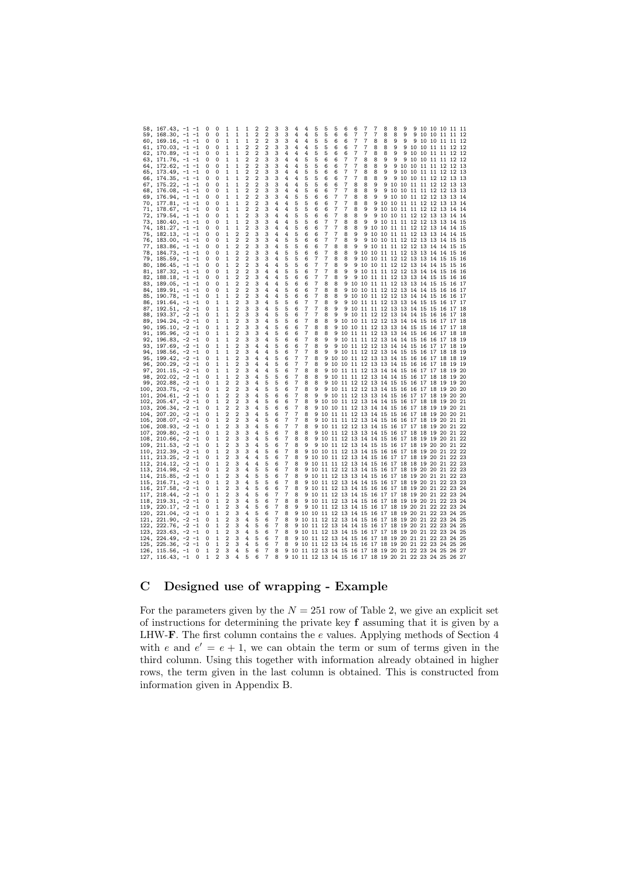|     | 58, 167.43, -1        |          |          | C | c              | 1              | 1              | 1              | 2              | 2              | 3              | 3 | 4                                                  |                | 5     | 5        | 5        | 6           | 6     | 7                    | 7        | 8                    | 8     | 9     | 9              |       | 10 10 10 11          |       | 11        |
|-----|-----------------------|----------|----------|---|----------------|----------------|----------------|----------------|----------------|----------------|----------------|---|----------------------------------------------------|----------------|-------|----------|----------|-------------|-------|----------------------|----------|----------------------|-------|-------|----------------|-------|----------------------|-------|-----------|
|     |                       |          |          |   |                |                |                |                |                |                |                |   |                                                    |                |       |          |          |             |       |                      |          |                      |       |       |                |       |                      |       |           |
|     | $59, 168.30, -1$      |          | $-1$     | 0 | 0              | 1              | 1              | 1              | $\overline{2}$ | 2              | 3              | 3 | 4                                                  | 4              | 5     | 5        | 6        | 6           | 7     | 7                    | 7        | 8                    | 8     | 9     | 9              |       | 10 10 11 11          |       | -12       |
|     | $60, 169.16, -1$      |          | $-1$     | 0 | 0              | 1              | 1              | 1              | $\overline{2}$ | $\overline{2}$ | 3              | 3 | 4                                                  | 4              | 5     | 5        | 6        | 6           | 7     | 7                    | 8        | 8                    | 9     | 9     | 9              | 10    | 10 11 11             |       | 12        |
|     | 61, 170.03, -1        |          | $-1$     | 0 | 0              | 1              | 1              | $\overline{2}$ | $\overline{2}$ | $\overline{2}$ | 3              | 3 | 4                                                  | 4              | 5     | 5        | 6        | 6           | 7     | 7                    | 8        | 8                    | 9     | 9     |                |       | 10 10 11 11 12       |       | 12        |
|     | $62, 170.89, -1$      |          | $-1$     | 0 | 0              | 1              | 1              | 2              | $\overline{2}$ | 3              | 3              | 4 | 4                                                  | 4              | 5     | 5        | 6        | 6           | 7     | 7                    | 8        | 8                    | 9     | 9     |                |       | 10 10 11 11 12       |       | 12        |
|     |                       |          | $-1$     |   |                |                |                |                |                |                |                |   |                                                    |                |       |          |          | 7           |       |                      |          |                      | 9     |       |                |       |                      |       |           |
|     | 63, 171.76, $-1$      |          |          | 0 | 0              |                | 1              | $\overline{c}$ | $\overline{2}$ | 3              | 3              | 4 | 4                                                  | 5              | 5     | 6        | 6        |             |       | 8                    | 8        | 9                    |       | 9     |                |       | 10 10 11 11 12       |       | 12        |
|     | 64, 172.62,           | $-1$     |          | 0 | 0              | 1              | 1              | $\overline{c}$ | $\overline{2}$ | 3              | 3              | 4 | 4                                                  | 5              | 5     | 6        | 6        | 7           |       | 8                    | 8        | 9                    | 9     | 10    |                |       | 10 11 11 12 12       |       | 13        |
|     | 65, 173.49,           | $-1$     | $-1$     | 0 | 0              | 1              | 1              | 2              | $\overline{2}$ | 3              | 3              | 4 | 4                                                  | 5              | 5     | 6        | 6        | 7           | 7     | 8                    | 8        | 9                    | 9     | 10    |                |       | 10 11 11 12 12       |       | 13        |
|     | 66, 174.35,           | $-1 -1$  |          | 0 | 0              | 1              | 1              | 2              | $\overline{2}$ | 3              | 3              | 4 | 4                                                  | 5              | 5     | 6        | 6        | 7           | 7     | 8                    | 8        | 9                    | 9     | 10    |                |       | 10 11 12 12 13       |       | -13       |
|     | 67, 175.22,           | $-1 -1$  |          | 0 | 0              | 1              | 1              | 2              | $\overline{2}$ | 3              | 3              | 4 | 4                                                  | 5              | 5     | 6        | 6        | 7           | 8     | 8                    | 9        | 9                    | 10    | 10    |                |       | 11 11 12 12 13       |       | 13        |
|     | 68, 176.08,           | $-1$     | $-1$     | 0 | 0              | 1              | 1              | 2              | $\overline{a}$ | 3              | 3              | 4 | 4                                                  | 5              | 6     | 6        | 7        | 7           | 8     | 8                    | 9        | 9                    | 10    | 10    |                | 11 11 | 12                   | 12    | 13<br>13  |
|     |                       |          |          |   |                |                |                |                | $\overline{a}$ | 3              |                |   |                                                    |                |       |          | 7        |             |       |                      |          | 9                    |       |       |                |       |                      |       |           |
|     | 69, 176.94,           | $-1$     | $-1$     | 0 | 0              | 1              | 1              | 2              |                |                | 3              | 4 | 5                                                  | 5              | 6     | 6        |          | 7           | 8     | 8                    | 9        |                      | 10    |       |                |       | 10 11 12 12 13 13    |       | 14        |
|     | 70, 177.81, -1        |          | $-1$     | 0 | O              | 1              | 1              | 2              | $\overline{2}$ | 3              | 4              | 4 | 5                                                  | 5              | 6     | 6        | 7        | 7           | 8     | 8                    | 9        | 10                   | 10    |       | 11 11 12 12    |       |                      | 13 13 | 14        |
|     | 71, 178.67, -1        |          | $-1$     | 0 | Ω              | 1              | 1              | 2              | $\overline{2}$ | 3              | 4              | 4 | 5                                                  | 5              | 6     | 6        | 7        | 7           | 8     | 9                    | 9        | 10                   |       |       | 10 11 11 12 12 |       |                      | 13 14 | 14        |
|     | 72, 179.54, -1        |          | $-1$     | 0 | 0              | 1              | 1              | 2              | 3              | 3              | 4              | 4 | 5                                                  | 5              | 6     | 6        | 7        | 8           | 8     | 9                    | 9        | 10                   |       |       |                |       | 10 11 12 12 13 13 14 |       | 14        |
|     | $73, 180.40, -1$      |          | $-1$     | 0 | 0              | 1              | 1              | 2              | 3              | 3              | 4              | 4 | 5                                                  | 5              | 6     | 7        | 7        | 8           | 8     | 9                    | 9        | 10                   |       |       |                |       | 11 11 12 12 13 13 14 |       | 15        |
|     | 74, 181.27, -1        |          | $-1$     | 0 | 0              | 1              | 1              | 2              | 3              | 3              | 4              | 4 | 5                                                  | 6              | 6     | 7        | 7        | 8           | 8     | 9                    | 10       | 10                   |       |       |                |       | 11 11 12 12 13 14 14 |       | 15        |
|     |                       |          |          |   |                |                |                |                |                |                |                |   |                                                    |                |       |          |          |             |       |                      |          |                      |       |       |                |       |                      |       |           |
|     | 75, 182.13, -1 -1     |          |          | 0 | 0              | 1              | 2              | 2              | 3              | 3              | 4              | 4 | 5                                                  | 6              | 6     | 7        | 7        | 8           | 9     | 9                    | 10       | 10                   | 11    |       | 11 12 13       |       | 13                   | 14    | 14<br>15  |
|     | 76, 183.00, -1        |          | $-1$     | 0 | 0              | 1              | $\overline{2}$ | $\overline{2}$ | 3              | 3              | 4              | 5 | 5                                                  | 6              | 6     | 7        | 7        | 8           | 9     | 9                    | 10       | 10                   |       |       | 11 12 12 13 13 |       |                      | 14 15 | 15        |
| 77, | $183.86, -1$          |          | $-1$     | 0 | Ω              | 1              | $\overline{2}$ | 2              | 3              | 3              | 4              | 5 | 5                                                  | 6              | 6     | 7        | 8        | 8           | 9     | 9                    | 10       | 11                   | 11    |       | 12 12 13 14    |       |                      | 14 15 | 15        |
|     | 78, 184.73, -1        |          | $-1$     | 0 | 0              | 1              | $\overline{2}$ | 2              | 3              | 3              | 4              | 5 | 5                                                  | 6              | 6     | 7        | 8        | 8           | 9     | 10                   | 10 11    |                      |       |       | 11 12 13 13 14 |       |                      | 14 15 | 16        |
|     | 79, 185.59, -1        |          | $-1$     | 0 | 0              | 1              | 2              | $\overline{a}$ | 3              | 3              | 4              | 5 | 5                                                  | 6              | 7     | 7        | 8        | 8           | 9     | 10                   | 10       | 11                   | 12    |       | 12 13 13 14    |       |                      | 15 15 | 16        |
|     | 80, 186.45,           | $-1 -1$  |          | 0 | 0              | 1              | 2              | 2              | 3              | 4              | 4              | 5 | 5                                                  | 6              | 7     | 7        | 8        | 9           | 9     | 10                   |          | 10 11 12 12 13 14 14 |       |       |                |       |                      | 15 15 | 16        |
|     |                       |          |          |   |                |                |                |                |                |                |                |   |                                                    |                |       |          |          |             |       |                      |          |                      |       |       |                |       |                      |       |           |
|     | 81, 187.32,           | $-1$     | $-1$     | 0 | 0              | 1              | 2              | 2              | 3              | 4              | 4              | 5 | 5                                                  | 6              | 7     | 7        | 8        | 9           | 9     | 10                   |          | 11 11                | 12    | 12    | 13 14 14       |       |                      | 15    | 16<br>16  |
|     | 82, 188.18,           | $-1$     | $-1$     | 0 | 0              | 1              | 2              | 2              | 3              | 4              | 4              | 5 | 6                                                  | 6              | 7     | 7        | 8        | 9           | 9     | 10                   | 11       | 11                   | 12    | 13    | 13             | 14    | 15                   | 15    | 16<br>16  |
|     | 83, 189.05,           | $-1$     | $-1$     | 0 | 0              | 1              | 2              | 2              | 3              | 4              | 4              | 5 | 6                                                  | 6              | 7     | 8        | 8        | 9           | 10    | 10                   | 11       | 11                   | 12    | 13    | 13             | 14    | 15                   | 15    | 16<br>17  |
|     | 84, 189.91,           | $-1$     | $-1$     | 0 | 0              | 1              | $\overline{2}$ | $\overline{2}$ | 3              | 4              | 4              | 5 | 6                                                  | 6              | 7     | 8        | 8        | 9           | 10    | 10                   | 11 12    |                      |       | 12 13 | 14 14 15       |       |                      | 16    | 16<br>17  |
|     | 85, 190.78,           | $-1$     | $-1$     | Ω | 1              | 1              | $\overline{2}$ | $\overline{2}$ | 3              | 4              | 4              | 5 | 6                                                  | 6              | 7     | 8        | 8        | 9           | 10    | 10                   | 11 12    |                      | 12    |       | 13 14 14 15    |       |                      | 16    | 16<br>17  |
|     | $86, 191.64, -1$      |          | $-1$     | 0 | 1              | 1              | 2              | 3              | 3              | 4              | 5              | 5 | 6                                                  | 7              | 7     | 8        | 9        | 9           | 10    |                      | 11 11 12 |                      |       |       | 13 13 14 15 15 |       |                      | 16 17 | 17        |
|     | $87, 192.51, -2$      |          | $-1$     | 0 | 1              | 1              | 2              | 3              | 3              | 4              | 5              | 5 | 6                                                  | 7              | 7     | 8        | 9        | 9           | 10    |                      | 11 12    |                      | 13    |       | 13 14 15       |       | 15                   | 16 17 | 18        |
|     |                       |          |          |   |                |                |                |                |                |                |                |   |                                                    |                |       |          |          |             |       | 11                   |          |                      |       |       |                |       |                      |       |           |
|     | 88, 193.37, -2        |          | $-1$     | 0 | 1              | 1              | 2              | 3              | 3              | 4              | 5              | 5 | 6                                                  | 7              | 7     | 8        | 9        | 9           | 10    | 11 12 12             |          |                      | 13    |       | 14 14 15 16    |       |                      | 16 17 | 18        |
|     | 89, 194.24, -2        |          | $-1$     | 0 | 1              | 1              | 2              | 3              | з              | 4              | 5              | 5 | 6                                                  | 7              | 8     | 8        | 9        | 10          | 10    | 11 12 12             |          |                      | 13    |       | 14 14 15       |       | 16                   | 17 17 | 18        |
|     | 90, 195.10, -2        |          | $-1$     | 0 | 1              | 1              | 2              | 3              | з              | 4              | 5              | 6 | 6                                                  | 7              | 8     | 8        | 9        | 10          | 10    |                      | 11 12 13 |                      | 13    |       | 14 15          | 15    | 16                   | 17    | 17<br>18  |
|     | $91, 195.96, -2$      |          | $-1$     | 0 | 1              | 1              | 2              | 3              | 3              | 4              | 5              | 6 | 6                                                  | 7              | 8     | 8        | 9        | 10          |       | 11 11 12 13          |          |                      | 13    | 14 15 |                | 16    | 16                   | 17    | 18<br>18  |
| 92, | $196.83, -2$          |          | $-1$     | 0 | 1              | 1              | 2              | 3              | 3              | 4              | 5              | 6 | 6                                                  | 7              | 8     | 9        | 9        | 10          | 11    | 11 12 13             |          |                      | 14    |       | 14 15 16 16    |       |                      | 17    | 18<br>19  |
|     | 93, 197.69, -2        |          | $-1$     | 0 | 1              | 1              | $\overline{2}$ | 3              | 4              | 4              | 5              | 6 | 6                                                  | $\overline{7}$ | 8     | 9        | 9        | 10          |       | 11 12 12 13          |          |                      | 14    |       | 14 15 16 17    |       |                      | 17 18 | 19        |
|     |                       |          |          |   |                |                |                |                |                |                |                |   |                                                    |                |       |          |          |             |       |                      |          |                      |       |       |                |       |                      |       |           |
|     | 94, 198.56, $-2$ $-1$ |          |          | 0 | 1              | 1              | $\overline{2}$ | 3              | 4              | 4              | 5              | 6 | 7                                                  | 7              | 8     | 9        | 9        | 10          | 11    | 12 12 13             |          |                      | 14 15 |       | 15 16 17       |       |                      | 18 18 | 19        |
|     | 95, 199.42,           | $-2 - 1$ |          | 0 | 1              | 1              | $\overline{2}$ | 3              | 4              | 4              | 5              | 6 | $\overline{7}$                                     | 7              | 8     | 9        | 10       | 10          | 11    | 12 13 13             |          |                      | 14    | 15    | 16 16 17       |       |                      | 18 18 | 19        |
|     | 96, 200.29,           | $-2 - 1$ |          | 0 | 1              | 1              | 2              | 3              | 4              | 4              | 5              | 6 | 7                                                  | 7              | 8     | 9        | 10       | 10          | 11    |                      | 12 13 13 |                      | 14    | 15    | 16 16 17       |       |                      | 18    | -19<br>19 |
|     | 97, 201.15,           | $-2 - 1$ |          | 0 | 1              | 1              | 2              | 3              | 4              | 4              | 5              | 6 | 7                                                  | 8              | 8     | 9        | 10       | 11          | 11    | 12                   | 13       | 14                   | 14    | 15    | 16             | 17    | 17                   | 18    | 19<br>20  |
|     | 98, 202.02,           | $-2$     | $-1$     | 0 | 1              | 1              | 2              | 3              | 4              | 5              | 5              | 6 | 7                                                  | 8              | 8     | 9        | 10       | 11          | 11    | 12                   | 13       | 14                   | 14    | 15    | 16             | 17    | 18                   | 18    | 19<br>20  |
|     | 99, 202.88,           | $-2$     | $-1$     | 0 | 1              | 2              | 2              | 3              | 4              | 5              | 5              | 6 | 7                                                  | 8              | 8     | 9        | 10       | 11          |       | 12 12                | 13       | 14                   | 15    |       | 15 16 17       |       | 18                   | 19    | 19<br>20  |
|     |                       |          |          | 0 | 1              | 2              |                | 3              |                |                |                |   |                                                    | 8              | 9     | 9        | 10       | 11          |       |                      |          |                      |       |       |                |       | 18                   |       | 20        |
|     | 100, 203.75,          | $-2$     | $-1$     |   |                |                | 2              |                | 4              | 5              | 5              | 6 | 7                                                  |                |       |          |          |             | 12    | 12                   | 13 14    |                      | 15    | 16    | 16 17          |       |                      | 19    | 20        |
|     | 101, 204.61,          | $-2$     | $-1$     | 0 | 1              | 2              | 2              | 3              | 4              | 5              | 6              | 6 | 7                                                  | 8              | 9     | 9        | 10 11    |             |       | 12 13 13 14          |          |                      | 15    |       | 16 17 17       |       | 18                   | 19 20 | 20        |
|     | 102, 205.47, -2       |          | $-1$     | 0 | 1              | 2              | 2              | 3              | 4              | 5              | 6              | 6 | 7                                                  | 8              | 9     | 10       | 10 11    |             |       | 12 13 14 14          |          |                      | 15    |       | 16 17 18       |       | 18                   | 19 20 | 21        |
|     | $103, 206.34, -2$     |          | $-1$     | 0 | 1              | $\overline{2}$ | $\overline{2}$ | 3              | 4              | 5              | 6              | 6 | $\overline{7}$                                     | 8              | 9     | 10       | 10 11    |             |       | 12 13 14 14          |          |                      | 15    |       | 16 17 18       |       | 19                   | 19 20 | 21        |
|     | 104, 207.20, -2       |          | $-1$     | 0 | 1              | $\overline{c}$ | 2              | 3              | 4              | 5              | 6              | 7 | 7                                                  | 8              | 9     | 10       | 11 11    |             |       | 12 13                | 14 15    |                      | 15    |       | 16 17 18 19    |       |                      | 20 20 | 21        |
|     | 105, 208.07, -2       |          | $-1$     | 0 | 1              | $\overline{c}$ | 2              | 3              | 4              | 5              | 6              | 7 | 7                                                  | 8              | 9     | 10       | 11 11    |             | 12    | 13                   | 14       | 15                   | 16    | 16    | 17 18          |       | 19                   | 20 21 | 21        |
|     | 106, 208.93, -2       |          | $-1$     | 0 | 1              | 2              | 3              | 3              | 4              | 5              | 6              | 7 | 7                                                  | 8              | 9     | 10       | 11       | 12          | 12    | 13                   | 14       | 15                   | 16    | 17    | 17             | 18    | 19                   | 20 21 | 22        |
|     |                       |          |          |   |                | 2              |                |                |                |                |                | 7 |                                                    |                |       |          |          |             |       |                      |          |                      |       |       |                |       |                      |       |           |
|     | 107, 209.80,          | $^{-2}$  | $-1$     | 0 | 1              |                | 3              | 3              | 4              | 5              | 6              |   | 8                                                  | 8              | 9     | 10       | 11 12    |             | 13    | 13                   | 14 15    |                      | 16    | 17    | 18 18          |       | 19                   | 20 21 | 22        |
|     | $108, 210.66, -2 -1$  |          |          | 0 | 1              | $\overline{c}$ | 3              | 3              | 4              | 5              | 6              | 7 | 8                                                  | 8              | q     | 10       | 11 12    |             | 13 14 |                      | 14 15    |                      | 16    | 17    | 18 19          |       | 19                   | 20 21 | 22        |
|     | $109, 211.53, -2 -1$  |          |          | 0 | 1              | $\overline{c}$ | 3              | 3              | 4              | 5              | 6              | 7 | 8                                                  | 9              | 9     | 10       | 11 12    |             |       | 13 14 15 15          |          |                      | 16    | 17    | 18 19 20       |       |                      | 20 21 | 22        |
|     | 110, 212.39,          | $-2 - 1$ |          | 0 | 1              | $\overline{c}$ | 3              | 3              | 4              | 5              | 6              | 7 | 8                                                  | 9              | 10    | 10       |          | 11 12 13 14 |       |                      | 15 16    |                      | 16    |       | 17 18 19 20    |       |                      | 21 22 | 22        |
|     | 111, 213.25,          | $-2 - 1$ |          | 0 | 1              | $\overline{c}$ | 3              | 4              | 4              | 5              | 6              | 7 | 8                                                  | 9              | 10    | 10       |          |             |       | 11 12 13 14 15 16 17 |          |                      |       |       | 17 18 19 20    |       |                      | 21 22 | 23        |
|     | 112, 214.12,          | $-2 - 1$ |          | 0 | 1              | $\overline{2}$ | з              | 4              | 4              | 5              | 6              | 7 | 8                                                  | 9              | 10    | 11       | 11 12    |             | 13    | 14                   | 15       | 16                   | 17    | 18    | 18             | 19    | 20                   | 21 22 | 23        |
|     | 113, 214.98,          |          |          | 0 | 1              | 2              |                | 4              | 5              |                |                | 7 | 8                                                  | 9              | 10    | 11       | 12       |             |       |                      |          |                      |       |       |                | 20    | 20                   |       | 22<br>23  |
|     |                       | $-2 - 1$ |          |   |                |                | 3              |                |                | 5              | 6              |   |                                                    |                |       |          |          | 12          | 13    | 14                   | 15       | 16                   | 17    | 18    | 19             |       |                      | 21    |           |
|     | 114, 215.85,          | $-2$     | $-1$     | 0 | 1              | 2              | 3              | 4              | 5              | 5              | 6              | 7 | 8                                                  | 9              | 10    | 11       | 12 13    |             | 13    | 14 15                |          | 16                   | 17    |       | 18 19          | 20    | 21                   | 21    | 22<br>23  |
|     | 115, 216.71,          | $-2 - 1$ |          | 0 | 1              | 2              | 3              | 4              | 5              | 5              | 6              | 7 | 8                                                  | 9              | 10    | 11       | 12 13    |             | 14    | 14 15                |          | 16                   | 17    | 18    | 19             | 20    | 21                   | 22 23 | 23        |
|     | 116, 217.58, -2       |          | $-1$     | 0 | 1              | $\overline{c}$ | 3              | 4              | 5              | 6              | 6              | 7 | 8                                                  | 9              | 10    | 11 12    |          | -13         | 14    | 15 16 16             |          |                      | 17    | 18    | 19 20          |       | 21                   | 22 23 | 24        |
|     | $117, 218.44, -2$     |          | $-1$     | 0 | 1              | $\overline{c}$ | з              | 4              | 5              | 6              | 7              | 7 | 8                                                  | 9              | 10    | 11 12 13 |          |             | 14    | 15                   | 16       | 17                   | 17    | 18    | 19 20 21       |       |                      | 22 23 | 24        |
|     | 118, 219.31,          | $-2$     | $-1$     | 0 | 1              | $\overline{2}$ | 3              | 4              | 5              | 6              | 7              | 8 | 8                                                  | 9              | 10    | 11 12 13 |          |             | 14    | 15                   | 16       | 17                   | 18    | 19    | 19             | 20 21 |                      | 22 23 | 24        |
|     | 119, 220.17,          | $-2$     | $-1$     | 0 | 1              | $\overline{c}$ | 3              | 4              | 5              | 6              | 7              | 8 | 9                                                  | 9              | 10    | 11 12 13 |          |             | 14    | 15                   | 16 17    |                      | 18    |       | 19 20 21 22    |       |                      | 22 23 | 24        |
|     | $120, 221.04, -2$     |          | $-1$     |   |                | $\overline{c}$ | 3              |                | 5              |                | 7              |   |                                                    |                |       |          |          |             |       |                      |          |                      |       |       | 20             | 21    | 22                   | 23 24 |           |
|     |                       |          |          | 0 | 1              |                |                | 4              |                | 6              |                | 8 | 9                                                  | 10             | 10    |          | 11 12 13 |             | 14    | 15                   | 16       | 17                   | 18    | 19    |                |       |                      |       | 25        |
|     | 121, 221.90, -2       |          | $-1$     | 0 | 1              | $\overline{2}$ | 3              | 4              | 5              | 6              | 7              | 8 | 9                                                  | 10             | 11    | 12       | 12       | 13          | 14    | 15                   | 16       | 17                   | 18    | 19    | 20             | 21    | 22                   | 23    | 24<br>25  |
|     | 122, 222.76,          | $-2$     | $-1$     | 0 | 1              | 2              | 3              | 4              | 5              | 6              | $\overline{7}$ | 8 | 9                                                  | 10             | 11    | 12       | 13       | 14          | 14    | 15                   | 16       | 17                   | 18    | 19    |                | 20 21 | 22                   | 23 24 | 25        |
|     | 123, 223.63,          | $-2$     | $-1$     | 0 | 1              | $\overline{2}$ | 3              | 4              | 5              | 6              | $\overline{7}$ | 8 | 9                                                  | 10             | 11    | 12       | 13       | 14          | 15    | 16                   | 17       | 17                   | 18    | 19    | 20             | 21    | 22                   | 23    | 24<br>25  |
|     | 124, 224.49,          | $-2$     | $-1$     | 0 | 1              | $\overline{c}$ | 3              | 4              | 5              | 6              | 7              | 8 | 9                                                  | 10             | 11 12 |          | 13 14    |             | 15    | 16                   | 17 18    |                      | 19    | 20    | 21 21          |       | 22                   | 23 24 | 25        |
|     | 125, 225.36,          | $-2$     | $-1$     | 0 | 1              | $\overline{2}$ | 3              | 4              | 5              | 6              | 7              | 8 | 9                                                  | 10             | 11    | 12       | 13 14    |             | 15    | 16                   | 17 18    |                      | 19    |       | 20 21 22       |       | 23                   | 24 25 | 26        |
|     |                       | $-1$     | 0        | 1 | $\overline{2}$ | 3              | 4              | 5              | 6              | 7              | 8              | 9 | 10 11 12 13 14 15 16 17 18 19 20 21 22 23 24 25 26 |                |       |          |          |             |       |                      |          |                      |       |       |                |       |                      |       | 27        |
|     | 126, 115.56,          |          |          |   |                |                |                |                |                |                |                |   |                                                    |                |       |          |          |             |       |                      |          |                      |       |       |                |       |                      |       |           |
|     | 127, 116.43,          | $-1$     | $\Omega$ | 1 | $\overline{2}$ | 3              | 4              | 5              | 6              | 7              | 8              | 9 | 10 11 12 13 14 15 16 17 18 19 20 21 22 23 24 25 26 |                |       |          |          |             |       |                      |          |                      |       |       |                |       |                      |       | 27        |

# C Designed use of wrapping - Example

For the parameters given by the  $N = 251$  row of Table 2, we give an explicit set of instructions for determining the private key f assuming that it is given by a LHW-F. The first column contains the  $e$  values. Applying methods of Section 4 with e and  $e' = e + 1$ , we can obtain the term or sum of terms given in the third column. Using this together with information already obtained in higher rows, the term given in the last column is obtained. This is constructed from information given in Appendix B.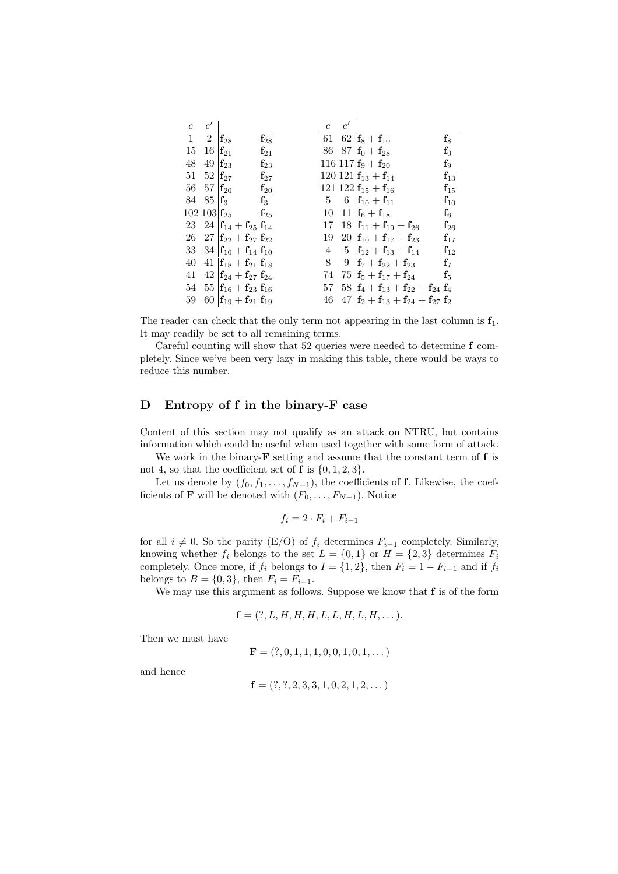| $\boldsymbol{e}$ | $e^{\prime}$                     |                                                           |                   | е              | $e^\prime$ |                                                                                         |                   |
|------------------|----------------------------------|-----------------------------------------------------------|-------------------|----------------|------------|-----------------------------------------------------------------------------------------|-------------------|
| 1                | $2^{\circ}$                      | $\mathbf{f}_{28}$                                         | $\mathbf{f}_{28}$ |                |            | 61 62 $\mathbf{f}_8 + \mathbf{f}_{10}$                                                  | $\mathbf{f}_8$    |
| 15               | 16                               | $\mathbf{f}_{21}$                                         | $f_{21}$          |                |            | 86 87 $\mathbf{f}_0 + \mathbf{f}_{28}$                                                  | $f_0$             |
| $48\,$           | 49 $f_{23}$                      |                                                           | $\mathbf{f}_{23}$ |                |            | 116 117 $\mathbf{f}_9 + \mathbf{f}_{20}$                                                | $\mathbf{f}_9$    |
| 51               | $52 \text{ }   \textbf{f}_{27} $ |                                                           | $\mathbf{f}_{27}$ |                |            | 120 121 $\mathbf{f}_{13} + \mathbf{f}_{14}$                                             | $\mathbf{f}_{13}$ |
|                  | 56 57 $\mathbf{f}_{20}$          |                                                           | $\mathbf{f}_{20}$ |                |            | 121 122 $\mathbf{f}_{15} + \mathbf{f}_{16}$                                             | $\mathbf{f}_{15}$ |
|                  | 84 85 $\mathbf{f}_3$             |                                                           | $\mathbf{f}_3$    | 5 <sub>5</sub> |            | 6 $ {\bf f}_{10} + {\bf f}_{11} $                                                       | $\mathbf{f}_{10}$ |
|                  |                                  | $102~103$ $\mathbf{f}_{25}$                               | $\mathbf{f}_{25}$ | 10             |            | 11 $f_6 + f_{18}$                                                                       | $\mathbf{f}_6$    |
|                  |                                  | 23 24 $\mathbf{f}_{14} + \mathbf{f}_{25} \mathbf{f}_{14}$ |                   | 17             |            | $18 \mathbf{f}_{11} + \mathbf{f}_{19} + \mathbf{f}_{26}$                                | $\mathbf{f}_{26}$ |
|                  |                                  | 26 27 $\mathbf{f}_{22} + \mathbf{f}_{27} \mathbf{f}_{22}$ |                   | 19             |            | 20 $\mathbf{f}_{10} + \mathbf{f}_{17} + \mathbf{f}_{23}$                                | $f_{17}$          |
|                  |                                  | 33 34 $\mathbf{f}_{10} + \mathbf{f}_{14} \mathbf{f}_{10}$ |                   | 4              |            | 5 $\mathbf{f}_{12} + \mathbf{f}_{13} + \mathbf{f}_{14}$                                 | $f_{12}$          |
| 40               |                                  | 41 $\mathbf{f}_{18} + \mathbf{f}_{21} \mathbf{f}_{18}$    |                   | 8              | 9          | $\mathbf{f}_{7}+\mathbf{f}_{22}+\mathbf{f}_{23}$                                        | $\mathbf{f}_7$    |
| 41               |                                  | 42 $\mathbf{f}_{24} + \mathbf{f}_{27} \mathbf{f}_{24}$    |                   | 74             |            | $75\  \mathbf{f}_5 + \mathbf{f}_{17} + \mathbf{f}_{24}$                                 | $\mathbf{f}_5$    |
| 54               |                                  | $55\ {\rm f}_{16} + {\rm f}_{23}\ {\rm f}_{16}$           |                   |                |            | 57 58 $\mathbf{f}_4 + \mathbf{f}_{13} + \mathbf{f}_{22} + \mathbf{f}_{24} \mathbf{f}_4$ |                   |
| 59               |                                  | 60 $\mathbf{f}_{19} + \mathbf{f}_{21} \mathbf{f}_{19}$    |                   | 46             |            | $47 \left[ \mathbf{f}_2 + \mathbf{f}_{13} + \mathbf{f}_{24} + \mathbf{f}_{27} \right]$  |                   |

The reader can check that the only term not appearing in the last column is  $f_1$ . It may readily be set to all remaining terms.

Careful counting will show that 52 queries were needed to determine f completely. Since we've been very lazy in making this table, there would be ways to reduce this number.

# D Entropy of f in the binary-F case

Content of this section may not qualify as an attack on NTRU, but contains information which could be useful when used together with some form of attack.

We work in the binary- $\bf{F}$  setting and assume that the constant term of  $\bf{f}$  is not 4, so that the coefficient set of  $f$  is  $\{0, 1, 2, 3\}.$ 

Let us denote by  $(f_0, f_1, \ldots, f_{N-1})$ , the coefficients of f. Likewise, the coefficients of **F** will be denoted with  $(F_0, \ldots, F_{N-1})$ . Notice

$$
f_i = 2 \cdot F_i + F_{i-1}
$$

for all  $i \neq 0$ . So the parity (E/O) of  $f_i$  determines  $F_{i-1}$  completely. Similarly, knowing whether  $f_i$  belongs to the set  $L = \{0, 1\}$  or  $H = \{2, 3\}$  determines  $F_i$ completely. Once more, if  $f_i$  belongs to  $I = \{1, 2\}$ , then  $F_i = 1 - F_{i-1}$  and if  $f_i$ belongs to  $B = \{0, 3\}$ , then  $F_i = F_{i-1}$ .

We may use this argument as follows. Suppose we know that f is of the form

$$
\mathbf{f} = (?, L, H, H, H, L, L, H, L, H, \dots)
$$

Then we must have

$$
\mathbf{F} = (?, 0, 1, 1, 1, 0, 0, 1, 0, 1, \dots)
$$

and hence

$$
\mathbf{f} = (?,?,2,3,3,1,0,2,1,2,\dots)
$$